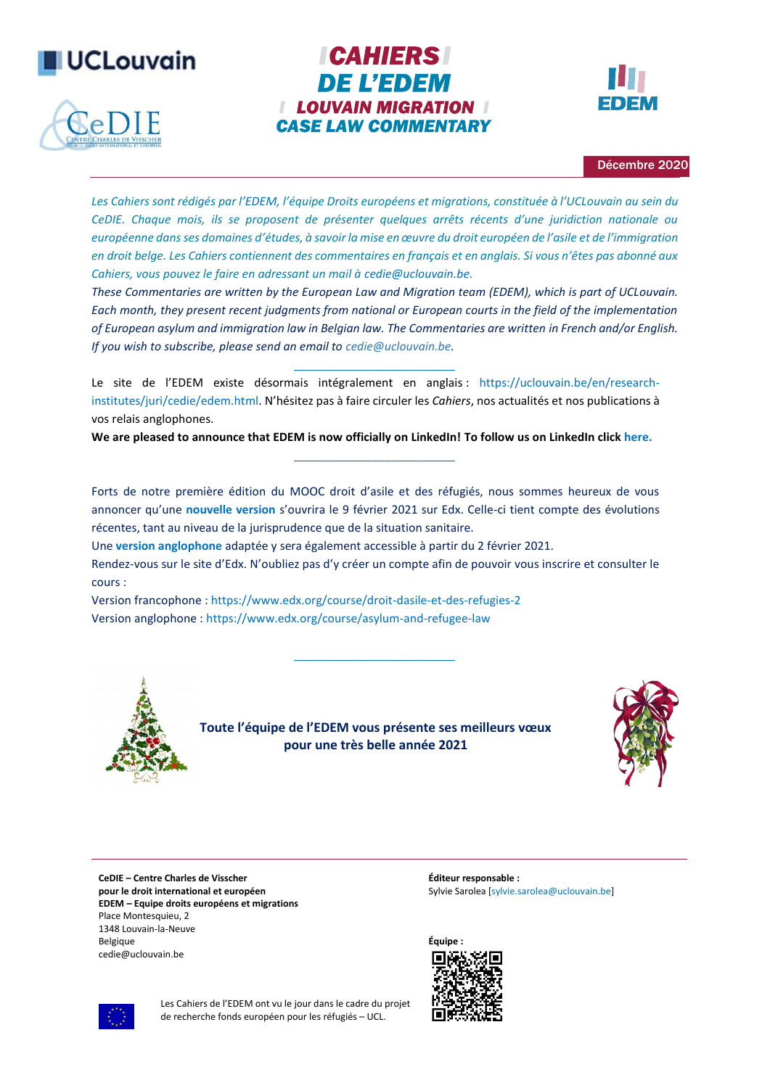



# **ICAHIERS DE L'EDEM I LOUVAIN MIGRATION I CASE LAW COMMENTARY**



Décembre 2020

*Les Cahiers sont rédigés par l'[EDEM](http://www.uclouvain.be/423125), l'équipe Droits européens et migrations, constituée à l'UCLouvain au sein du CeDIE. Chaque mois, ils se proposent de présenter quelques arrêts récents d'une juridiction nationale ou européenne dans ses domaines d'études, à savoir la mise en œuvre du droit européen de l'asile et de l'immigration en droit belge. Les Cahiers contiennent des commentaires en français et en anglais. Si vous n'êtes pas abonné aux Cahiers, vous pouvez le faire en adressant un mail [à cedie@uclouvain.be.](mailto:cedie@uclouvain.be)*

*These Commentaries are written by the European Law and Migration team (EDEM), which is part of UCLouvain. Each month, they present recent judgments from national or European courts in the field of the implementation of European asylum and immigration law in Belgian law. The Commentaries are written in French and/or English. If you wish to subscribe, please send an email to [cedie@uclouvain.be.](mailto:cedie@uclouvain.be)*

Le site de l'EDEM existe désormais intégralement en anglais : [https://uclouvain.be/en/research](https://uclouvain.be/en/research-institutes/juri/cedie/edem.html)[institutes/juri/cedie/edem.html](https://uclouvain.be/en/research-institutes/juri/cedie/edem.html). N'hésitez pas à faire circuler les *Cahiers*, nos actualités et nos publications à vos relais anglophones.

*\_\_\_\_\_\_\_\_\_\_\_\_\_\_\_\_\_\_\_\_\_\_\_\_\_*

We are pleased to announce that EDEM is now officially on LinkedIn! To follow us on LinkedIn clic[k here.](https://www.linkedin.com/company/37572750) *\_\_\_\_\_\_\_\_\_\_\_\_\_\_\_\_\_\_\_\_\_\_\_\_\_*

Forts de notre première édition du MOOC droit d'asile et des réfugiés, nous sommes heureux de vous annoncer qu'une **[nouvelle version](https://uclouvain.be/fr/instituts-recherche/juri/cedie/actualites/nouveau-mooc-droit-d-asile-et-des-refugies.html)** s'ouvrira le 9 février 2021 sur Edx. Celle-ci tient compte des évolutions récentes, tant au niveau de la jurisprudence que de la situation sanitaire.

Une **[version anglophone](https://uclouvain.be/en/research-institutes/juri/cedie/news/nouveau-mooc-droit-d-asile-et-des-refugies.html)** adaptée y sera également accessible à partir du 2 février 2021.

Rendez-vous sur le site d'Edx. N'oubliez pas d'y créer un compte afin de pouvoir vous inscrire et consulter le cours :

*\_\_\_\_\_\_\_\_\_\_\_\_\_\_\_\_\_\_\_\_\_\_\_\_\_*

Version francophone : <https://www.edx.org/course/droit-dasile-et-des-refugies-2> Version anglophone [: https://www.edx.org/course/asylum-and-refugee-law](https://www.edx.org/course/asylum-and-refugee-law)



**Toute l'équipe de l'EDEM vous présente ses meilleurs vœux pour une très belle année 2021**



**CeDIE – Centre Charles de Visscher pour le droit international et européen EDEM – Equipe droits européens et migrations** Place Montesquieu, 2 1348 Louvain-la-Neuve Belgique cedie@uclouvain.be

**Éditeur responsable :** Sylvie Sarolea [\[sylvie.sarolea@uclouvain.be\]](mailto:sylvie.sarolea@uclouvain.be)

**Équipe :**





Les Cahiers de l'EDEM ont vu le jour dans le cadre du projet de recherche fonds européen pour les réfugiés – UCL.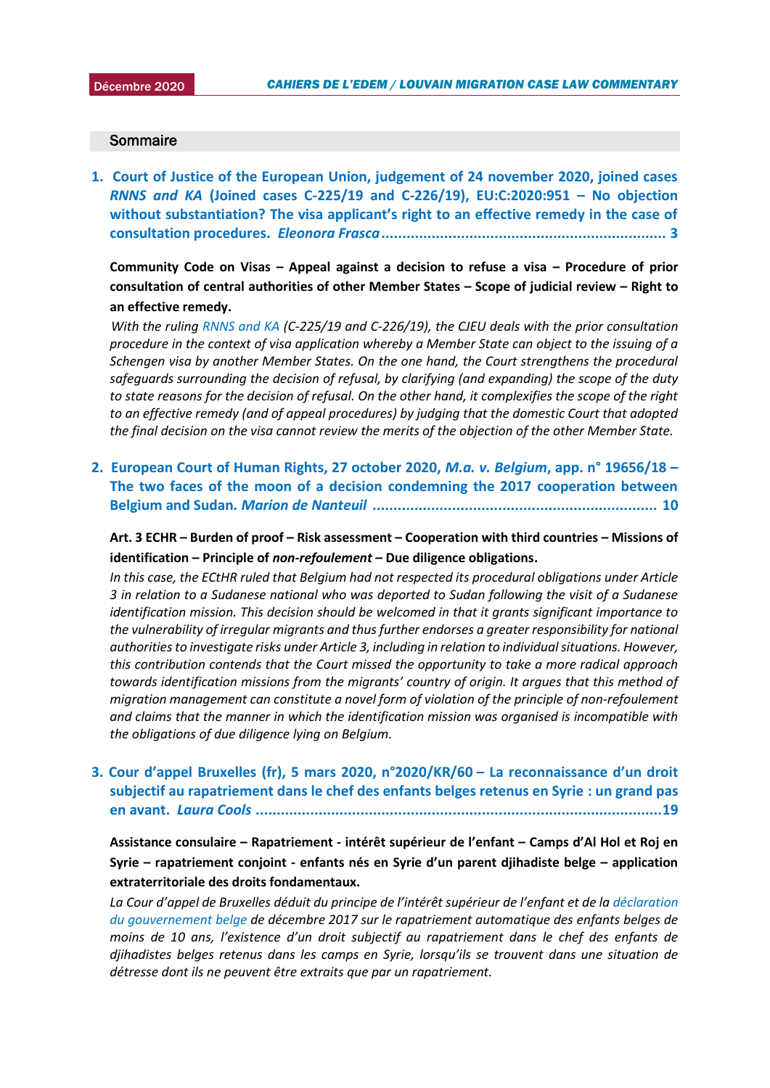#### **Sommaire**

**1. [Court of Justice of the European Union, judgement of 24 november 2020, joined cases](#page-2-0)**  *RNNS and KA* **[\(Joined cases C-225/19 and C-226/19\), EU:C:2020:951](#page-2-0) – No objection [without substantiation? The visa applicant's right to an effective remedy in the case of](#page-2-0)  consultation procedures.** *Eleonora Frasca***[....................................................................](#page-2-0) 3**

**Community Code on Visas – Appeal against a decision to refuse a visa – Procedure of prior consultation of central authorities of other Member States – Scope of judicial review – Right to an effective remedy.**

 *With the ruling [RNNS and KA](http://curia.europa.eu/juris/document/document.jsf?text=&docid=234205&pageIndex=0&doclang=en&mode=lst&dir=&occ=first&part=1&cid=20159583) (C-225/19 and C-226/19), the CJEU deals with the prior consultation procedure in the context of visa application whereby a Member State can object to the issuing of a Schengen visa by another Member States. On the one hand, the Court strengthens the procedural safeguards surrounding the decision of refusal, by clarifying (and expanding) the scope of the duty to state reasons for the decision of refusal. On the other hand, it complexifies the scope of the right to an effective remedy (and of appeal procedures) by judging that the domestic Court that adopted the final decision on the visa cannot review the merits of the objection of the other Member State.*

**2. [European Court of Human Rights, 27 october 2020,](#page-9-0)** *M.a. v. Belgium***, app. n° 19656/18 – [The two faces of the moon of a decision condemning the 2017 cooperation between](#page-9-0)  Belgium and Sudan***. Marion de Nanteuil [....................................................................](#page-9-0)* **10**

**Art. 3 ECHR – Burden of proof – Risk assessment – Cooperation with third countries – Missions of identification – Principle of** *non-refoulement* **– Due diligence obligations.**

*In this case, the ECtHR ruled that Belgium had not respected its procedural obligations under Article 3 in relation to a Sudanese national who was deported to Sudan following the visit of a Sudanese identification mission. This decision should be welcomed in that it grants significant importance to the vulnerability of irregular migrants and thus further endorses a greater responsibility for national authorities to investigate risks under Article 3, including in relation to individual situations. However, this contribution contends that the Court missed the opportunity to take a more radical approach towards identification missions from the migrants' country of origin. It argues that this method of migration management can constitute a novel form of violation of the principle of non-refoulement and claims that the manner in which the identification mission was organised is incompatible with the obligations of due diligence lying on Belgium.*

**3. Cour d'appel Bruxelles ([fr\), 5 mars 2020, n°2020/KR/60](#page-18-0) – La reconnaissance d'un droit [subjectif au rapatriement dans le chef des enfants belges retenus en Syrie](#page-18-0) : un grand pas en avant.** *Laura Cools* **[.................................................................................................19](#page-18-0)**

**Assistance consulaire – Rapatriement - intérêt supérieur de l'enfant – Camps d'Al Hol et Roj en Syrie – rapatriement conjoint - enfants nés en Syrie d'un parent djihadiste belge – application extraterritoriale des droits fondamentaux.**

La Cour d'appel de Bruxelles déduit du principe de l'intérêt supérieur de l'enfant et de la déclaration *[du gouvernement belge](https://www.vrt.be/vrtnws/nl/2017/12/22/automatisch-terugkeerrecht-voor-kinderen-is-strijders-van-minder/) de décembre 2017 sur le rapatriement automatique des enfants belges de moins de 10 ans, l'existence d'un droit subjectif au rapatriement dans le chef des enfants de djihadistes belges retenus dans les camps en Syrie, lorsqu'ils se trouvent dans une situation de détresse dont ils ne peuvent être extraits que par un rapatriement.*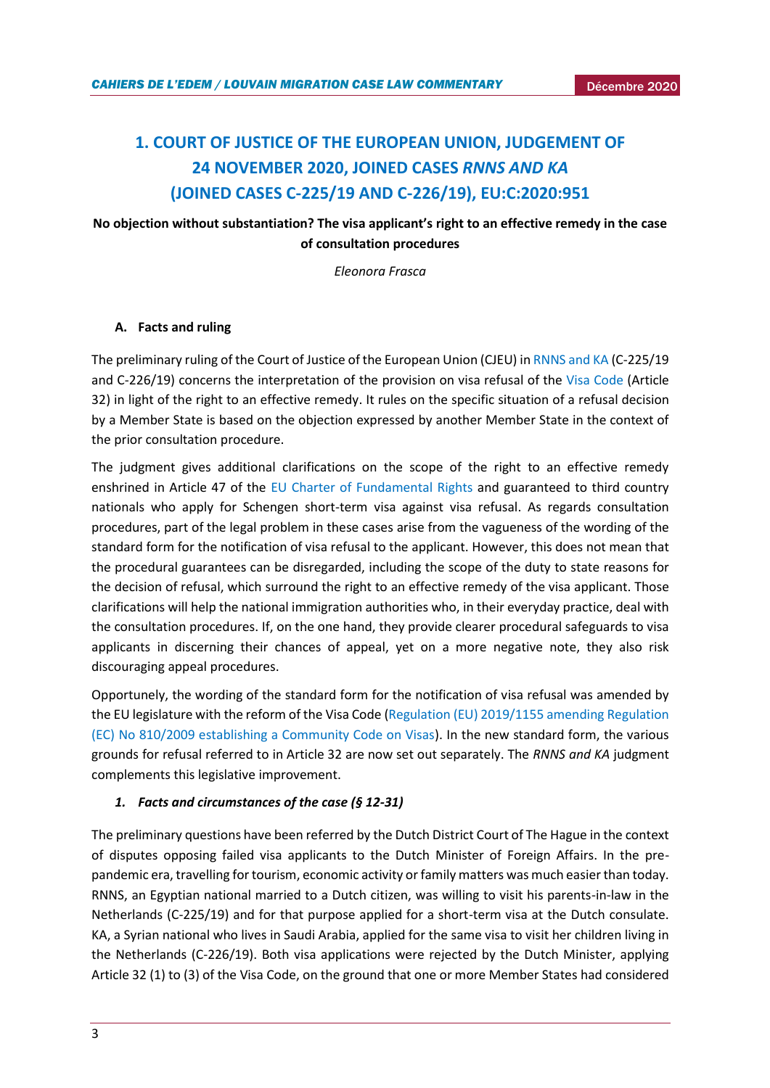# <span id="page-2-0"></span>**1. COURT OF JUSTICE OF THE EUROPEAN UNION, JUDGEMENT OF 24 NOVEMBER 2020, JOINED CASES** *RNNS AND KA*  **(JOINED CASES C-225/19 AND C-226/19), EU:C:2020:951**

# **No objection without substantiation? The visa applicant's right to an effective remedy in the case of consultation procedures**

*Eleonora Frasca*

## **A. Facts and ruling**

The preliminary ruling of the Court of Justice of the European Union (CJEU) i[n RNNS and KA](http://curia.europa.eu/juris/document/document.jsf?text=&docid=234205&pageIndex=0&doclang=en&mode=lst&dir=&occ=first&part=1&cid=20159583) (C-225/19 and C-226/19) concerns the interpretation of the provision on visa refusal of the [Visa Code](https://eur-lex.europa.eu/legal-content/EN/TXT/?uri=CELEX%3A32009R0810&qid=1609240925913) (Article 32) in light of the right to an effective remedy. It rules on the specific situation of a refusal decision by a Member State is based on the objection expressed by another Member State in the context of the prior consultation procedure.

The judgment gives additional clarifications on the scope of the right to an effective remedy enshrined in Article 47 of the [EU Charter of Fundamental Rights](https://eur-lex.europa.eu/legal-content/IT/TXT/?uri=CELEX:12012P/TXT) and guaranteed to third country nationals who apply for Schengen short-term visa against visa refusal. As regards consultation procedures, part of the legal problem in these cases arise from the vagueness of the wording of the standard form for the notification of visa refusal to the applicant. However, this does not mean that the procedural guarantees can be disregarded, including the scope of the duty to state reasons for the decision of refusal, which surround the right to an effective remedy of the visa applicant. Those clarifications will help the national immigration authorities who, in their everyday practice, deal with the consultation procedures. If, on the one hand, they provide clearer procedural safeguards to visa applicants in discerning their chances of appeal, yet on a more negative note, they also risk discouraging appeal procedures.

Opportunely, the wording of the standard form for the notification of visa refusal was amended by the EU legislature with the reform of the Visa Code [\(Regulation \(EU\) 2019/1155 amending Regulation](https://eur-lex.europa.eu/legal-content/EN/TXT/?uri=uriserv%3AOJ.L_.2019.188.01.0025.01.ENG)  [\(EC\) No 810/2009 establishing a Community Code on Visas\)](https://eur-lex.europa.eu/legal-content/EN/TXT/?uri=uriserv%3AOJ.L_.2019.188.01.0025.01.ENG). In the new standard form, the various grounds for refusal referred to in Article 32 are now set out separately. The *RNNS and KA* judgment complements this legislative improvement.

#### *1. Facts and circumstances of the case (§ 12-31)*

The preliminary questions have been referred by the Dutch District Court of The Hague in the context of disputes opposing failed visa applicants to the Dutch Minister of Foreign Affairs. In the prepandemic era, travelling for tourism, economic activity or family matters was much easier than today. RNNS, an Egyptian national married to a Dutch citizen, was willing to visit his parents-in-law in the Netherlands (C-225/19) and for that purpose applied for a short-term visa at the Dutch consulate. KA, a Syrian national who lives in Saudi Arabia, applied for the same visa to visit her children living in the Netherlands (C-226/19). Both visa applications were rejected by the Dutch Minister, applying Article 32 (1) to (3) of the Visa Code, on the ground that one or more Member States had considered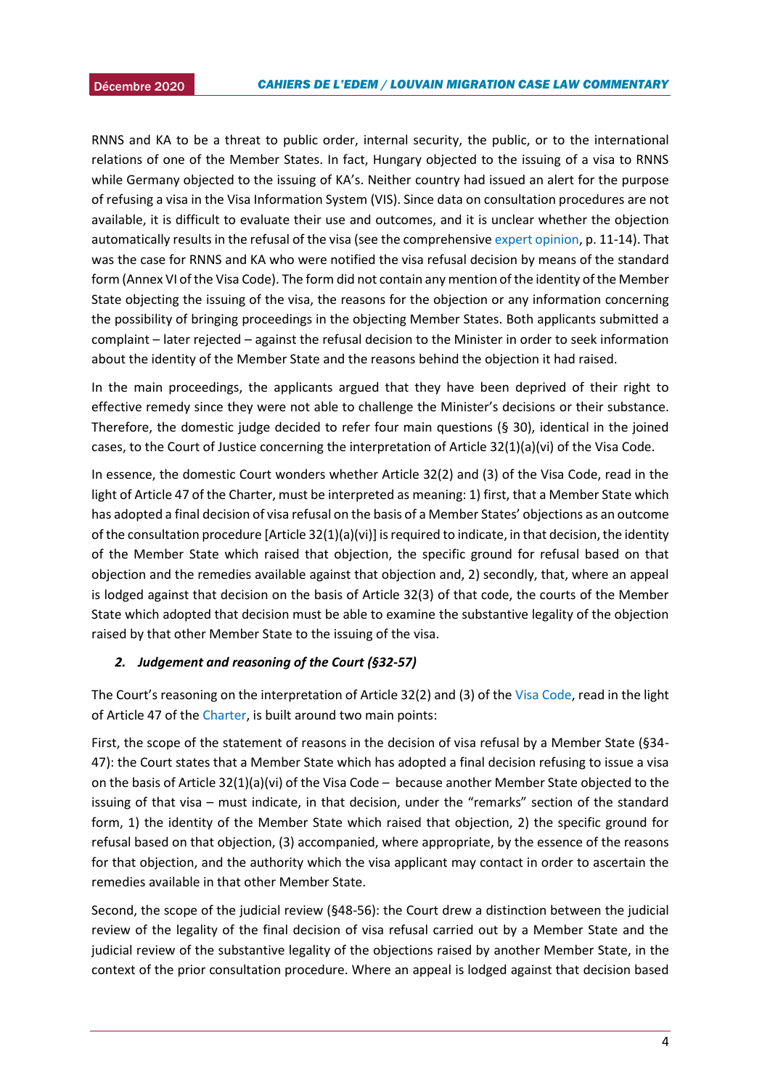RNNS and KA to be a threat to public order, internal security, the public, or to the international relations of one of the Member States. In fact, Hungary objected to the issuing of a visa to RNNS while Germany objected to the issuing of KA's. Neither country had issued an alert for the purpose of refusing a visa in the Visa Information System (VIS). Since data on consultation procedures are not available, it is difficult to evaluate their use and outcomes, and it is unclear whether the objection automatically results in the refusal of the visa (see the comprehensiv[e expert opinion,](https://migrationlawclinic.files.wordpress.com/2020/11/expert-opinion-visa-consultation-final.pdf) p. 11-14). That was the case for RNNS and KA who were notified the visa refusal decision by means of the standard form (Annex VI of the Visa Code). The form did not contain any mention of the identity of the Member State objecting the issuing of the visa, the reasons for the objection or any information concerning the possibility of bringing proceedings in the objecting Member States. Both applicants submitted a complaint – later rejected – against the refusal decision to the Minister in order to seek information about the identity of the Member State and the reasons behind the objection it had raised.

In the main proceedings, the applicants argued that they have been deprived of their right to effective remedy since they were not able to challenge the Minister's decisions or their substance. Therefore, the domestic judge decided to refer four main questions (§ 30), identical in the joined cases, to the Court of Justice concerning the interpretation of Article 32(1)(a)(vi) of the Visa Code.

In essence, the domestic Court wonders whether Article 32(2) and (3) of the Visa Code, read in the light of Article 47 of the Charter, must be interpreted as meaning: 1) first, that a Member State which has adopted a final decision of visa refusal on the basis of a Member States' objections as an outcome of the consultation procedure [Article 32(1)(a)(vi)] is required to indicate, in that decision, the identity of the Member State which raised that objection, the specific ground for refusal based on that objection and the remedies available against that objection and, 2) secondly, that, where an appeal is lodged against that decision on the basis of Article 32(3) of that code, the courts of the Member State which adopted that decision must be able to examine the substantive legality of the objection raised by that other Member State to the issuing of the visa.

#### *2. Judgement and reasoning of the Court (§32-57)*

The Court's reasoning on the interpretation of Article 32(2) and (3) of the [Visa Code,](https://eur-lex.europa.eu/legal-content/EN/TXT/?uri=CELEX%3A32009R0810&qid=1609240925913) read in the light of Article 47 of th[e Charter,](https://eur-lex.europa.eu/legal-content/IT/TXT/?uri=CELEX:12012P/TXT) is built around two main points:

First, the scope of the statement of reasons in the decision of visa refusal by a Member State (§34- 47): the Court states that a Member State which has adopted a final decision refusing to issue a visa on the basis of Article 32(1)(a)(vi) of the Visa Code – because another Member State objected to the issuing of that visa – must indicate, in that decision, under the "remarks" section of the standard form, 1) the identity of the Member State which raised that objection, 2) the specific ground for refusal based on that objection, (3) accompanied, where appropriate, by the essence of the reasons for that objection, and the authority which the visa applicant may contact in order to ascertain the remedies available in that other Member State.

Second, the scope of the judicial review (§48-56): the Court drew a distinction between the judicial review of the legality of the final decision of visa refusal carried out by a Member State and the judicial review of the substantive legality of the objections raised by another Member State, in the context of the prior consultation procedure. Where an appeal is lodged against that decision based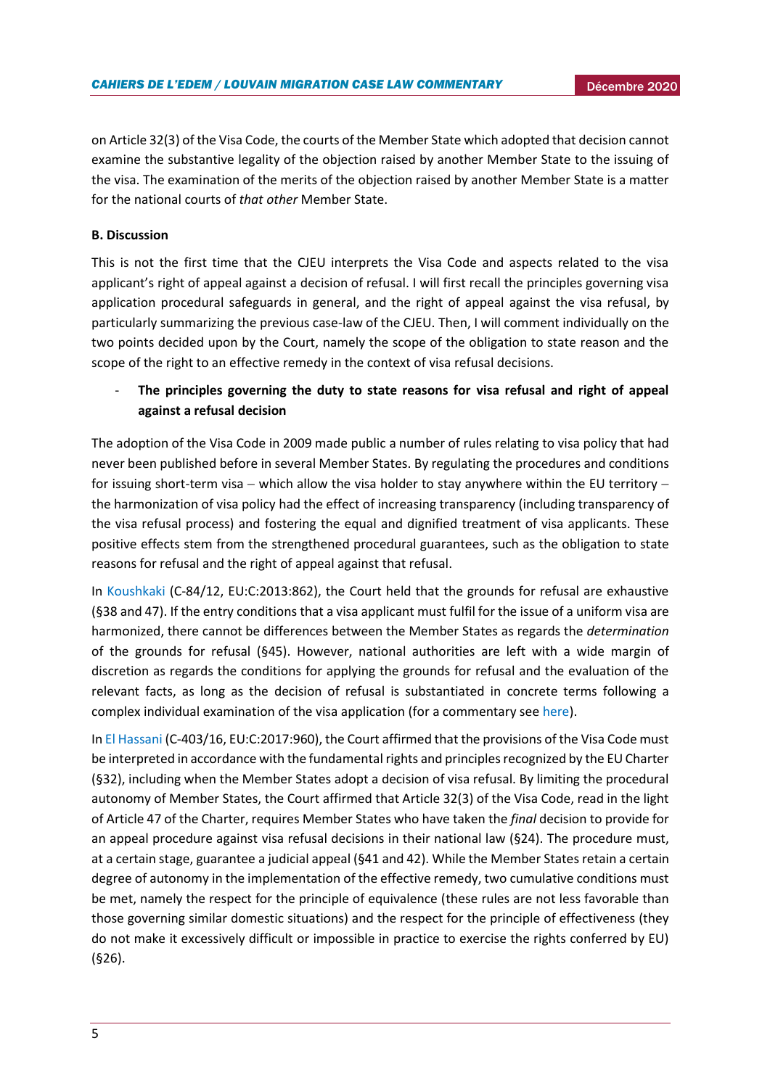on Article 32(3) of the Visa Code, the courts of the Member State which adopted that decision cannot examine the substantive legality of the objection raised by another Member State to the issuing of the visa. The examination of the merits of the objection raised by another Member State is a matter for the national courts of *that other* Member State.

## **B. Discussion**

This is not the first time that the CJEU interprets the Visa Code and aspects related to the visa applicant's right of appeal against a decision of refusal. I will first recall the principles governing visa application procedural safeguards in general, and the right of appeal against the visa refusal, by particularly summarizing the previous case-law of the CJEU. Then, I will comment individually on the two points decided upon by the Court, namely the scope of the obligation to state reason and the scope of the right to an effective remedy in the context of visa refusal decisions.

# - **The principles governing the duty to state reasons for visa refusal and right of appeal against a refusal decision**

The adoption of the Visa Code in 2009 made public a number of rules relating to visa policy that had never been published before in several Member States. By regulating the procedures and conditions for issuing short-term visa − which allow the visa holder to stay anywhere within the EU territory − the harmonization of visa policy had the effect of increasing transparency (including transparency of the visa refusal process) and fostering the equal and dignified treatment of visa applicants. These positive effects stem from the strengthened procedural guarantees, such as the obligation to state reasons for refusal and the right of appeal against that refusal.

In [Koushkaki](http://curia.europa.eu/juris/liste.jsf?num=C-84/12&language=IT) (C-84/12, EU:C:2013:862), the Court held that the grounds for refusal are exhaustive (§38 and 47). If the entry conditions that a visa applicant must fulfil for the issue of a uniform visa are harmonized, there cannot be differences between the Member States as regards the *determination* of the grounds for refusal (§45). However, national authorities are left with a wide margin of discretion as regards the conditions for applying the grounds for refusal and the evaluation of the relevant facts, as long as the decision of refusal is substantiated in concrete terms following a complex individual examination of the visa application (for a commentary se[e here\)](http://eulawanalysis.blogspot.com/2014/01/do-potential-asylum-seekers-have-right.html).

I[n El Hassani](http://curia.europa.eu/juris/liste.jsf?language=en&num=C-403/16) (C-403/16, EU:C:2017:960), the Court affirmed that the provisions of the Visa Code must be interpreted in accordance with the fundamental rights and principles recognized by the EU Charter (§32), including when the Member States adopt a decision of visa refusal. By limiting the procedural autonomy of Member States, the Court affirmed that Article 32(3) of the Visa Code, read in the light of Article 47 of the Charter, requires Member States who have taken the *final* decision to provide for an appeal procedure against visa refusal decisions in their national law (§24). The procedure must, at a certain stage, guarantee a judicial appeal (§41 and 42). While the Member States retain a certain degree of autonomy in the implementation of the effective remedy, two cumulative conditions must be met, namely the respect for the principle of equivalence (these rules are not less favorable than those governing similar domestic situations) and the respect for the principle of effectiveness (they do not make it excessively difficult or impossible in practice to exercise the rights conferred by EU) (§26).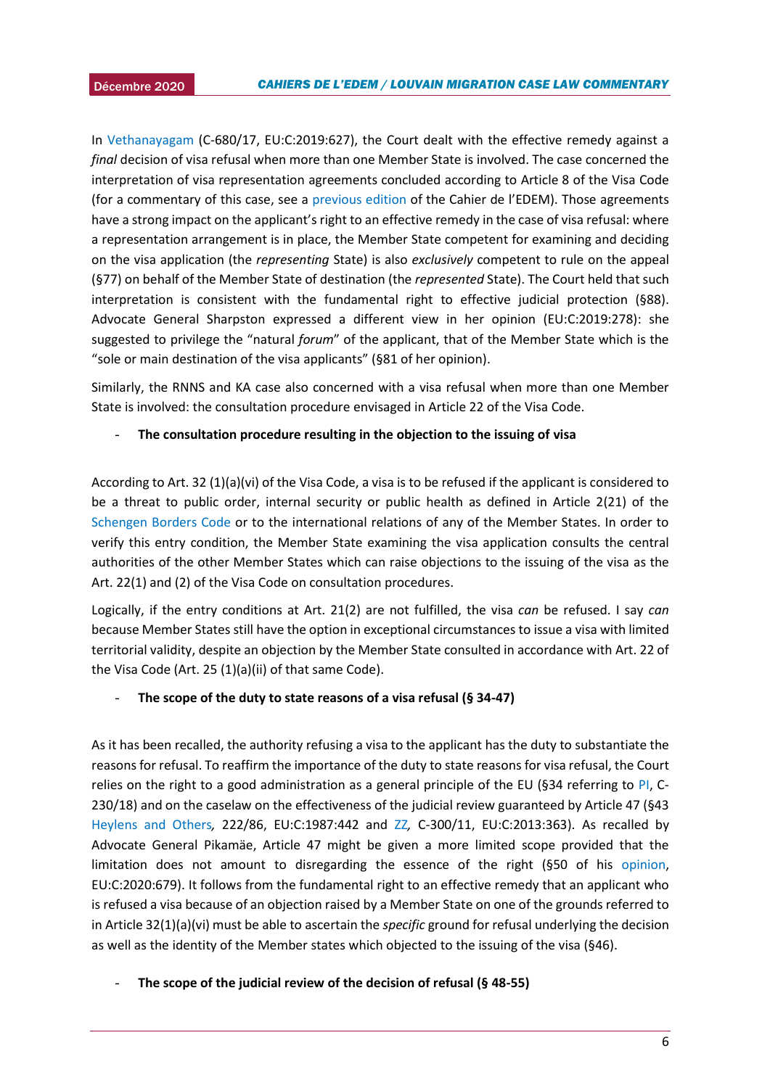In [Vethanayagam](https://eur-lex.europa.eu/legal-content/EN/TXT/PDF/?uri=CELEX:62017CJ0680&from=EN) (C-680/17, EU:C:2019:627), the Court dealt with the effective remedy against a *final* decision of visa refusal when more than one Member State is involved. The case concerned the interpretation of visa representation agreements concluded according to Article 8 of the Visa Code (for a commentary of this case, see a [previous edition](https://uclouvain.be/fr/instituts-recherche/juri/cedie/actualites/conclusions-de-l-avocate-generale-sharpston-dans-l-affaire-vethanayagam-c-680-17.html) of the Cahier de l'EDEM). Those agreements have a strong impact on the applicant's right to an effective remedy in the case of visa refusal: where a representation arrangement is in place, the Member State competent for examining and deciding on the visa application (the *representing* State) is also *exclusively* competent to rule on the appeal (§77) on behalf of the Member State of destination (the *represented* State). The Court held that such interpretation is consistent with the fundamental right to effective judicial protection (§88). Advocate General Sharpston expressed a different view in her opinion (EU:C:2019:278): she suggested to privilege the "natural *forum*" of the applicant, that of the Member State which is the "sole or main destination of the visa applicants" (§81 of her opinion).

Similarly, the RNNS and KA case also concerned with a visa refusal when more than one Member State is involved: the consultation procedure envisaged in Article 22 of the Visa Code.

## - **The consultation procedure resulting in the objection to the issuing of visa**

According to Art. 32 (1)(a)(vi) of the Visa Code, a visa is to be refused if the applicant is considered to be a threat to public order, internal security or public health as defined in Article 2(21) of the [Schengen Borders Code](https://eur-lex.europa.eu/legal-content/EN/TXT/?uri=celex%3A32016R0399) or to the international relations of any of the Member States. In order to verify this entry condition, the Member State examining the visa application consults the central authorities of the other Member States which can raise objections to the issuing of the visa as the Art. 22(1) and (2) of the Visa Code on consultation procedures.

Logically, if the entry conditions at Art. 21(2) are not fulfilled, the visa *can* be refused. I say *can* because Member States still have the option in exceptional circumstances to issue a visa with limited territorial validity, despite an objection by the Member State consulted in accordance with Art. 22 of the Visa Code (Art. 25 (1)(a)(ii) of that same Code).

## - **The scope of the duty to state reasons of a visa refusal (§ 34-47)**

As it has been recalled, the authority refusing a visa to the applicant has the duty to substantiate the reasons for refusal. To reaffirm the importance of the duty to state reasons for visa refusal, the Court relies on the right to a good administration as a general principle of the EU (§34 referring to [PI,](http://curia.europa.eu/juris/liste.jsf?num=C-230/18) C-230/18) and on the caselaw on the effectiveness of the judicial review guaranteed by Article 47 (§43 [Heylens and Others](https://eur-lex.europa.eu/legal-content/EN/TXT/?uri=CELEX%3A61986CJ0222)*,* 222/86, EU:C:1987:442 and [ZZ](http://curia.europa.eu/juris/liste.jsf?num=C-300/11&language=IT)*,* C-300/11, EU:C:2013:363). As recalled by Advocate General Pikamäe, Article 47 might be given a more limited scope provided that the limitation does not amount to disregarding the essence of the right (§50 of his [opinion,](http://curia.europa.eu/juris/document/document.jsf?text=&docid=230787&pageIndex=0&doclang=en&mode=lst&dir=&occ=first&part=1&cid=20159583) EU:C:2020:679). It follows from the fundamental right to an effective remedy that an applicant who is refused a visa because of an objection raised by a Member State on one of the grounds referred to in Article 32(1)(a)(vi) must be able to ascertain the *specific* ground for refusal underlying the decision as well as the identity of the Member states which objected to the issuing of the visa (§46).

- **The scope of the judicial review of the decision of refusal (§ 48-55)**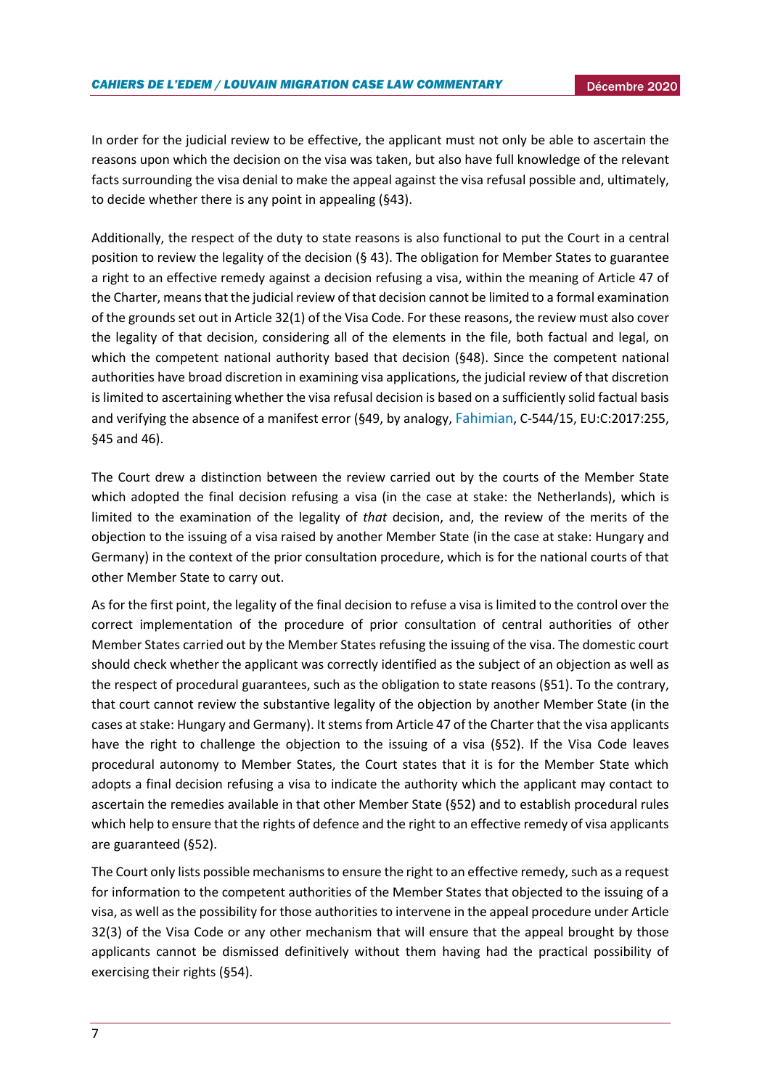In order for the judicial review to be effective, the applicant must not only be able to ascertain the reasons upon which the decision on the visa was taken, but also have full knowledge of the relevant facts surrounding the visa denial to make the appeal against the visa refusal possible and, ultimately, to decide whether there is any point in appealing (§43).

Additionally, the respect of the duty to state reasons is also functional to put the Court in a central position to review the legality of the decision (§ 43). The obligation for Member States to guarantee a right to an effective remedy against a decision refusing a visa, within the meaning of Article 47 of the Charter, means that the judicial review of that decision cannot be limited to a formal examination of the grounds set out in Article 32(1) of the Visa Code. For these reasons, the review must also cover the legality of that decision, considering all of the elements in the file, both factual and legal, on which the competent national authority based that decision (§48). Since the competent national authorities have broad discretion in examining visa applications, the judicial review of that discretion is limited to ascertaining whether the visa refusal decision is based on a sufficiently solid factual basis and verifying the absence of a manifest error (§49, by analogy, [Fahimian](http://curia.europa.eu/juris/document/document.jsf;jsessionid=9ea7d2dc30d5d7d39ca2b85c4824aa12d02fb79b02c2.e34KaxiLc3qMb40Rch0SaxyLaxn0?text=&docid=189542&pageIndex=0&doclang=en&mode=req&dir=&occ=first&part=1&cid=407920), C-544/15, EU:C:2017:255, §45 and 46).

The Court drew a distinction between the review carried out by the courts of the Member State which adopted the final decision refusing a visa (in the case at stake: the Netherlands), which is limited to the examination of the legality of *that* decision, and, the review of the merits of the objection to the issuing of a visa raised by another Member State (in the case at stake: Hungary and Germany) in the context of the prior consultation procedure, which is for the national courts of that other Member State to carry out.

As for the first point, the legality of the final decision to refuse a visa is limited to the control over the correct implementation of the procedure of prior consultation of central authorities of other Member States carried out by the Member States refusing the issuing of the visa. The domestic court should check whether the applicant was correctly identified as the subject of an objection as well as the respect of procedural guarantees, such as the obligation to state reasons (§51). To the contrary, that court cannot review the substantive legality of the objection by another Member State (in the cases at stake: Hungary and Germany). It stems from Article 47 of the Charter that the visa applicants have the right to challenge the objection to the issuing of a visa (§52). If the Visa Code leaves procedural autonomy to Member States, the Court states that it is for the Member State which adopts a final decision refusing a visa to indicate the authority which the applicant may contact to ascertain the remedies available in that other Member State (§52) and to establish procedural rules which help to ensure that the rights of defence and the right to an effective remedy of visa applicants are guaranteed (§52).

The Court only lists possible mechanismsto ensure the right to an effective remedy, such as a request for information to the competent authorities of the Member States that objected to the issuing of a visa, as well as the possibility for those authorities to intervene in the appeal procedure under Article 32(3) of the Visa Code or any other mechanism that will ensure that the appeal brought by those applicants cannot be dismissed definitively without them having had the practical possibility of exercising their rights (§54).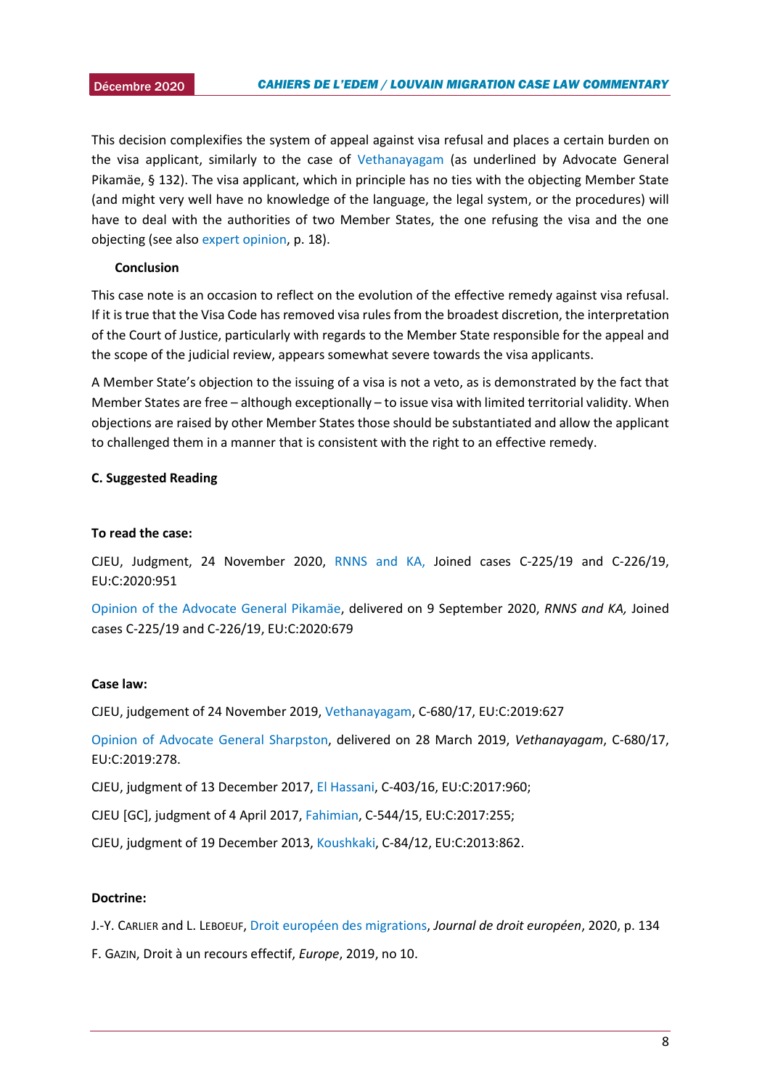This decision complexifies the system of appeal against visa refusal and places a certain burden on the visa applicant, similarly to the case of [Vethanayagam](https://eur-lex.europa.eu/legal-content/EN/TXT/PDF/?uri=CELEX:62017CJ0680&from=EN) (as underlined by Advocate General Pikamäe, § 132). The visa applicant, which in principle has no ties with the objecting Member State (and might very well have no knowledge of the language, the legal system, or the procedures) will have to deal with the authorities of two Member States, the one refusing the visa and the one objecting (see also [expert opinion,](https://migrationlawclinic.files.wordpress.com/2020/11/expert-opinion-visa-consultation-final.pdf) p. 18).

#### **Conclusion**

This case note is an occasion to reflect on the evolution of the effective remedy against visa refusal. If it is true that the Visa Code has removed visa rules from the broadest discretion, the interpretation of the Court of Justice, particularly with regards to the Member State responsible for the appeal and the scope of the judicial review, appears somewhat severe towards the visa applicants.

A Member State's objection to the issuing of a visa is not a veto, as is demonstrated by the fact that Member States are free – although exceptionally – to issue visa with limited territorial validity. When objections are raised by other Member States those should be substantiated and allow the applicant to challenged them in a manner that is consistent with the right to an effective remedy.

#### **C. Suggested Reading**

#### **To read the case:**

CJEU, Judgment, 24 November 2020, [RNNS and KA,](http://curia.europa.eu/juris/document/document.jsf?text=&docid=234205&pageIndex=0&doclang=en&mode=lst&dir=&occ=first&part=1&cid=20159583) Joined cases C-225/19 and C-226/19, EU:C:2020:951

[Opinion of the Advocate General Pikamäe,](http://curia.europa.eu/juris/document/document.jsf?text=&docid=230787&pageIndex=0&doclang=en&mode=lst&dir=&occ=first&part=1&cid=20159583) delivered on 9 September 2020, *RNNS and KA,* Joined cases C-225/19 and C-226/19, EU:C:2020:679

#### **Case law:**

CJEU, judgement of 24 November 2019, [Vethanayagam,](https://eur-lex.europa.eu/legal-content/EN/TXT/PDF/?uri=CELEX:62017CJ0680&from=EN) C-680/17, EU:C:2019:627

[Opinion of Advocate General Sharpston,](https://eur-lex.europa.eu/legal-content/EN/TXT/?uri=CELEX%3A62017CC0680) delivered on 28 March 2019, *Vethanayagam*, C-680/17, EU:C:2019:278.

CJEU, judgment of 13 December 2017, [El Hassani,](http://curia.europa.eu/juris/liste.jsf?language=en&num=C-403/16) C-403/16, EU:C:2017:960;

CJEU [GC], judgment of 4 April 2017, [Fahimian,](http://curia.europa.eu/juris/document/document.jsf;jsessionid=9ea7d2dc30d5d7d39ca2b85c4824aa12d02fb79b02c2.e34KaxiLc3qMb40Rch0SaxyLaxn0?text=&docid=189542&pageIndex=0&doclang=en&mode=req&dir=&occ=first&part=1&cid=407920) C-544/15, EU:C:2017:255;

CJEU, judgment of 19 December 2013, [Koushkaki,](http://curia.europa.eu/juris/liste.jsf?num=C-84/12&language=IT) C-84/12, EU:C:2013:862.

#### **Doctrine:**

J.-Y. CARLIER and L. LEBOEUF[, Droit européen des migrations,](https://dial.uclouvain.be/pr/boreal/object/boreal:229580) *Journal de droit européen*, 2020, p. 134

F. GAZIN, Droit à un recours effectif, *Europe*, 2019, no 10.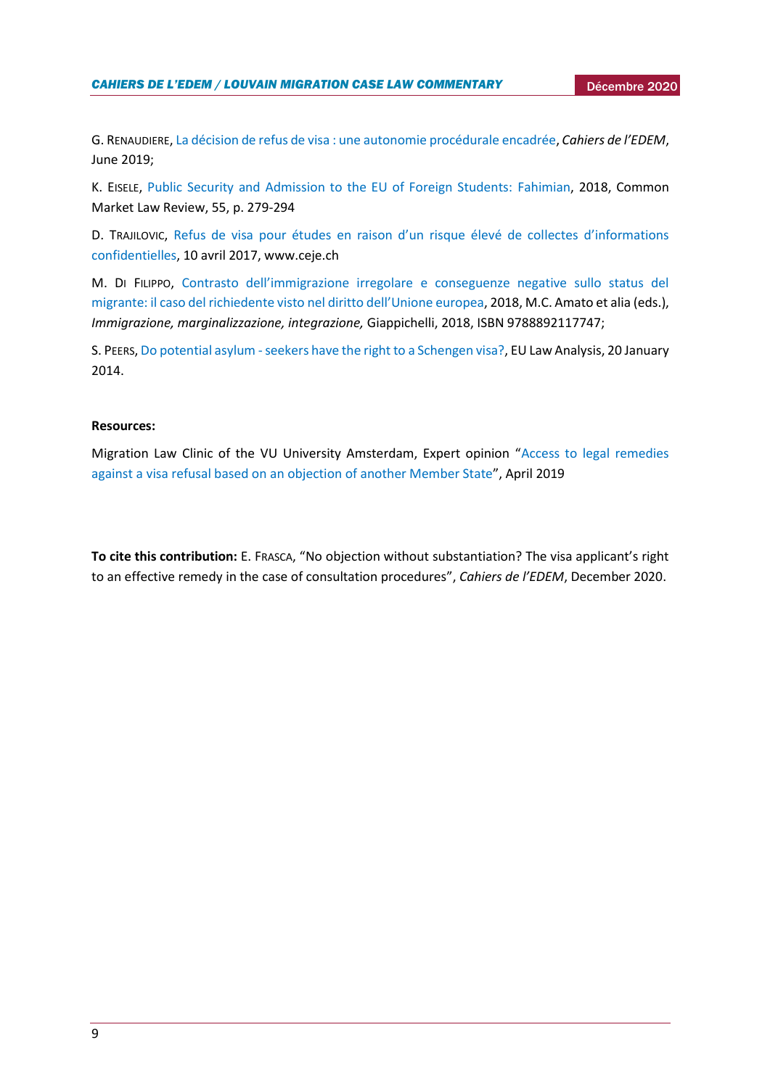G. RENAUDIERE[, La décision de refus de visa : une autonomie procédurale encadrée,](https://uclouvain.be/fr/instituts-recherche/juri/cedie/actualites/conclusions-de-l-avocate-generale-sharpston-dans-l-affaire-vethanayagam-c-680-17.html) *Cahiers de l'EDEM*, June 2019;

K. EISELE, [Public Security and Admission to the EU of Foreign Students: Fahimian,](https://kluwerlawonline.com/Journals/Common+Market+Law+Review/2) 2018, Common Market Law Review, 55, p. 279-294

D. TRAJILOVIC, [Refus de visa pour études en raison d'un risque élevé de collectes d'informations](https://www.ceje.ch/fr/actualites/politique-etrangere-et-de-securite-commune/2017/04/refus-de-visa-pour-etudes-en-raison-dun-risque-eleve-de-collectes-dinformations-confidentielles/)  [confidentielles,](https://www.ceje.ch/fr/actualites/politique-etrangere-et-de-securite-commune/2017/04/refus-de-visa-pour-etudes-en-raison-dun-risque-eleve-de-collectes-dinformations-confidentielles/) 10 avril 2017, www.ceje.ch

M. DI FILIPPO, [Contrasto dell'immigrazione irregolare e conseguenze negative sullo status del](https://www.academia.edu/38423787/Contrasto_dell_immigrazione_irregolare_e_conseguenze_negative_sullo_status_del_migrante_il_caso_del_richiedente_visto_nel_diritto_dell_Unione_europea)  [migrante: il caso del richiedente visto nel diritto dell'Unione europea](https://www.academia.edu/38423787/Contrasto_dell_immigrazione_irregolare_e_conseguenze_negative_sullo_status_del_migrante_il_caso_del_richiedente_visto_nel_diritto_dell_Unione_europea), 2018, M.C. Amato et alia (eds.), *Immigrazione, marginalizzazione, integrazione,* Giappichelli, 2018, ISBN 9788892117747;

S. PEERS, [Do potential asylum -seekers have the right to a Schengen visa?,](http://eulawanalysis.blogspot.com/2014/01/do-potential-asylum-seekers-have-right.html) EU Law Analysis, 20 January 2014.

#### **Resources:**

Migration Law Clinic of the VU University Amsterdam, Expert opinion "[Access to legal remedies](https://migrationlawclinic.files.wordpress.com/2020/11/expert-opinion-visa-consultation-final.pdf)  [against a visa refusal based on an objection of another Member State](https://migrationlawclinic.files.wordpress.com/2020/11/expert-opinion-visa-consultation-final.pdf)", April 2019

**To cite this contribution:** E. FRASCA, "No objection without substantiation? The visa applicant's right to an effective remedy in the case of consultation procedures", *Cahiers de l'EDEM*, December 2020.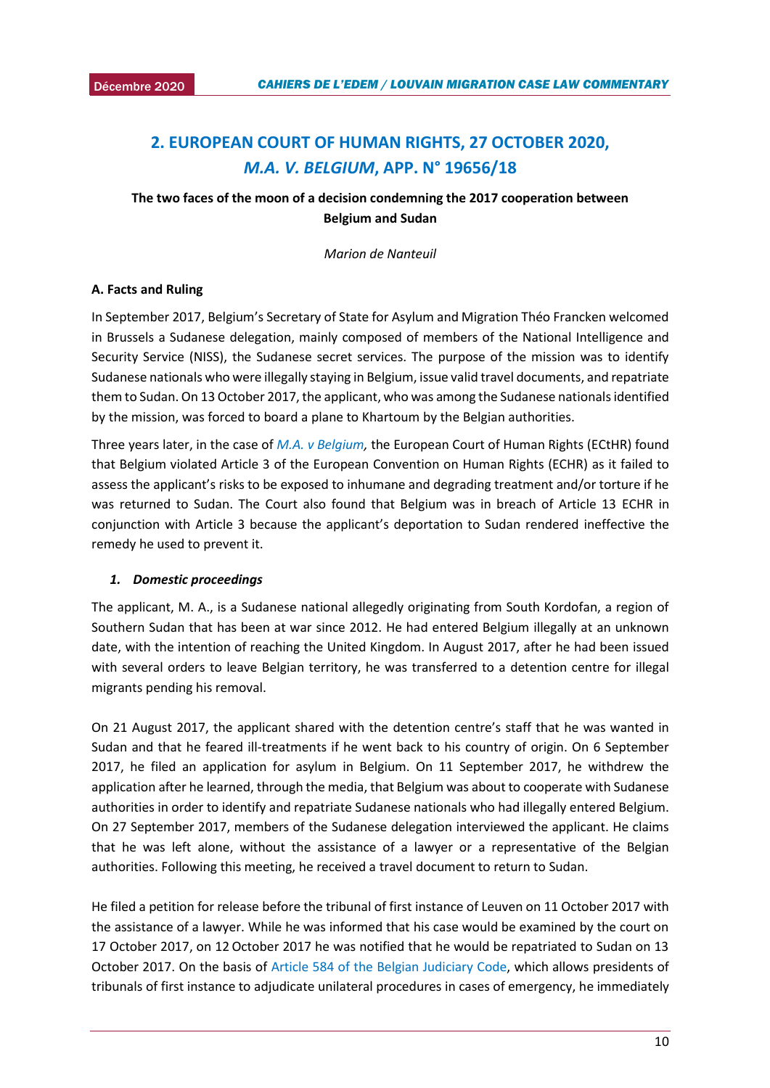# <span id="page-9-0"></span>2. EUROPEAN COURT OF HUMAN RIGHTS, 27 OCTOBER 2020, *M.A. V. BELGIUM***, APP. N° 19656/18**

# **The two faces of the moon of a decision condemning the 2017 cooperation between Belgium and Sudan**

*Marion de Nanteuil*

## **A. Facts and Ruling**

In September 2017, Belgium's Secretary of State for Asylum and Migration Théo Francken welcomed in Brussels a Sudanese delegation, mainly composed of members of the National Intelligence and Security Service (NISS), the Sudanese secret services. The purpose of the mission was to identify Sudanese nationals who were illegally staying in Belgium, issue valid travel documents, and repatriate them to Sudan. On 13 October 2017, the applicant, who was among the Sudanese nationals identified by the mission, was forced to board a plane to Khartoum by the Belgian authorities.

Three years later, in the case of *[M.A. v Belgium,](https://hudoc.echr.coe.int/fre#{%22fulltext%22:[%22M.A.%20c%20belgique%22],%22itemid%22:[%22001-205377%22]})* the European Court of Human Rights (ECtHR) found that Belgium violated Article 3 of the European Convention on Human Rights (ECHR) as it failed to assess the applicant's risks to be exposed to inhumane and degrading treatment and/or torture if he was returned to Sudan. The Court also found that Belgium was in breach of Article 13 ECHR in conjunction with Article 3 because the applicant's deportation to Sudan rendered ineffective the remedy he used to prevent it.

#### *1. Domestic proceedings*

The applicant, M. A., is a Sudanese national allegedly originating from South Kordofan, a region of Southern Sudan that has been at war since 2012. He had entered Belgium illegally at an unknown date, with the intention of reaching the United Kingdom. In August 2017, after he had been issued with several orders to leave Belgian territory, he was transferred to a detention centre for illegal migrants pending his removal.

On 21 August 2017, the applicant shared with the detention centre's staff that he was wanted in Sudan and that he feared ill-treatments if he went back to his country of origin. On 6 September 2017, he filed an application for asylum in Belgium. On 11 September 2017, he withdrew the application after he learned, through the media, that Belgium was about to cooperate with Sudanese authorities in order to identify and repatriate Sudanese nationals who had illegally entered Belgium. On 27 September 2017, members of the Sudanese delegation interviewed the applicant. He claims that he was left alone, without the assistance of a lawyer or a representative of the Belgian authorities. Following this meeting, he received a travel document to return to Sudan.

He filed a petition for release before the tribunal of first instance of Leuven on 11 October 2017 with the assistance of a lawyer. While he was informed that his case would be examined by the court on 17 October 2017, on 12 October 2017 he was notified that he would be repatriated to Sudan on 13 October 2017. On the basis of [Article 584 of the Belgian Judiciary Code,](http://www.ejustice.just.fgov.be/cgi_loi/change_lg_2.pl?language=fr&nm=1967101054&la=F) which allows presidents of tribunals of first instance to adjudicate unilateral procedures in cases of emergency, he immediately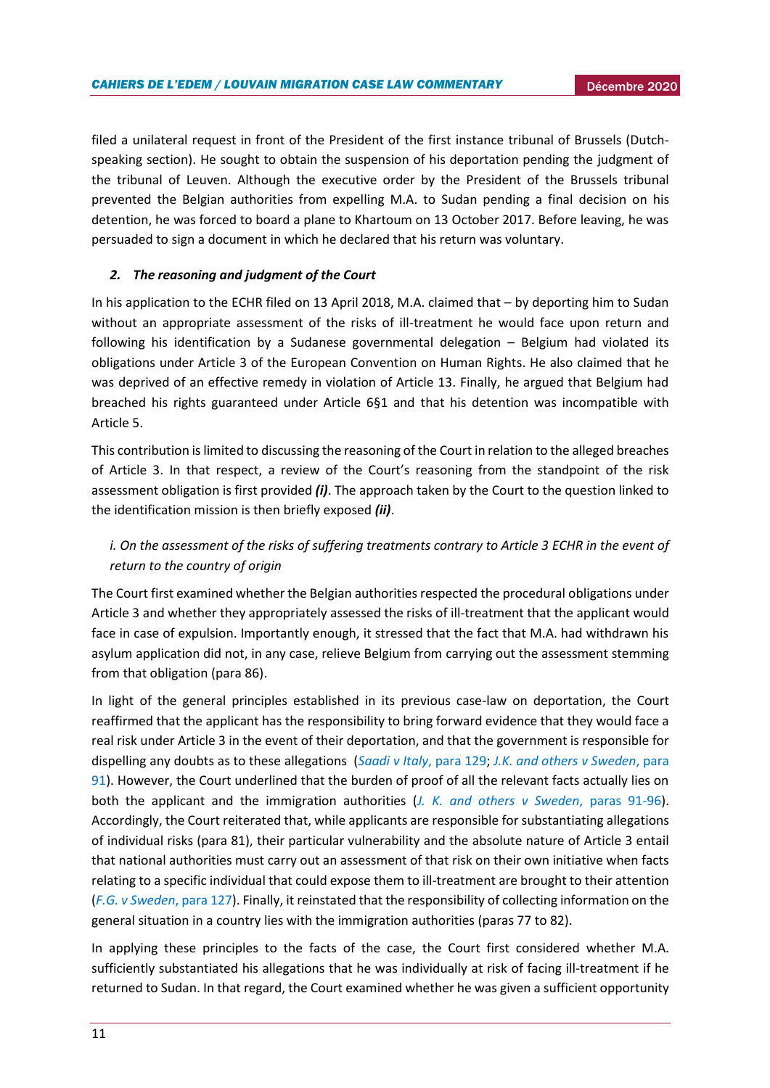filed a unilateral request in front of the President of the first instance tribunal of Brussels (Dutchspeaking section). He sought to obtain the suspension of his deportation pending the judgment of the tribunal of Leuven. Although the executive order by the President of the Brussels tribunal prevented the Belgian authorities from expelling M.A. to Sudan pending a final decision on his detention, he was forced to board a plane to Khartoum on 13 October 2017. Before leaving, he was persuaded to sign a document in which he declared that his return was voluntary.

## *2. The reasoning and judgment of the Court*

In his application to the ECHR filed on 13 April 2018, M.A. claimed that – by deporting him to Sudan without an appropriate assessment of the risks of ill-treatment he would face upon return and following his identification by a Sudanese governmental delegation – Belgium had violated its obligations under Article 3 of the European Convention on Human Rights. He also claimed that he was deprived of an effective remedy in violation of Article 13. Finally, he argued that Belgium had breached his rights guaranteed under Article 6§1 and that his detention was incompatible with Article 5.

This contribution is limited to discussing the reasoning of the Court in relation to the alleged breaches of Article 3. In that respect, a review of the Court's reasoning from the standpoint of the risk assessment obligation is first provided *(i)*. The approach taken by the Court to the question linked to the identification mission is then briefly exposed *(ii)*.

# *i. On the assessment of the risks of suffering treatments contrary to Article 3 ECHR in the event of return to the country of origin*

The Court first examined whether the Belgian authorities respected the procedural obligations under Article 3 and whether they appropriately assessed the risks of ill-treatment that the applicant would face in case of expulsion. Importantly enough, it stressed that the fact that M.A. had withdrawn his asylum application did not, in any case, relieve Belgium from carrying out the assessment stemming from that obligation (para 86).

In light of the general principles established in its previous case-law on deportation, the Court reaffirmed that the applicant has the responsibility to bring forward evidence that they would face a real risk under Article 3 in the event of their deportation, and that the government is responsible for dispelling any doubts as to these allegations (*[Saadi v Italy](https://hudoc.echr.coe.int/fre#{%22fulltext%22:[%22saadi%20italy%22],%22documentcollectionid2%22:[%22GRANDCHAMBER%22,%22CHAMBER%22],%22itemid%22:[%22001-85276%22]})*, para 129; *[J.K. and others v Sweden](https://hudoc.echr.coe.int/fre#{%22fulltext%22:[%22j%20k%20sweden%22],%22documentcollectionid2%22:[%22GRANDCHAMBER%22,%22CHAMBER%22],%22itemid%22:[%22001-165442%22]})*, para [91\)](https://hudoc.echr.coe.int/fre#{%22fulltext%22:[%22j%20k%20sweden%22],%22documentcollectionid2%22:[%22GRANDCHAMBER%22,%22CHAMBER%22],%22itemid%22:[%22001-165442%22]}). However, the Court underlined that the burden of proof of all the relevant facts actually lies on both the applicant and the immigration authorities (*[J. K. and others v Sweden](https://hudoc.echr.coe.int/fre#{%22fulltext%22:[%22j%20k%20sweden%22],%22documentcollectionid2%22:[%22GRANDCHAMBER%22,%22CHAMBER%22],%22itemid%22:[%22001-165442%22]})*, paras 91-96). Accordingly, the Court reiterated that, while applicants are responsible for substantiating allegations of individual risks (para 81), their particular vulnerability and the absolute nature of Article 3 entail that national authorities must carry out an assessment of that risk on their own initiative when facts relating to a specific individual that could expose them to ill-treatment are brought to their attention (*[F.G. v Sweden](https://hudoc.echr.coe.int/fre#{%22fulltext%22:[%22f%20g%20v%20sweden%22],%22documentcollectionid2%22:[%22GRANDCHAMBER%22,%22CHAMBER%22],%22itemid%22:[%22001-161829%22]})*, para 127). Finally, it reinstated that the responsibility of collecting information on the general situation in a country lies with the immigration authorities (paras 77 to 82).

In applying these principles to the facts of the case, the Court first considered whether M.A. sufficiently substantiated his allegations that he was individually at risk of facing ill-treatment if he returned to Sudan. In that regard, the Court examined whether he was given a sufficient opportunity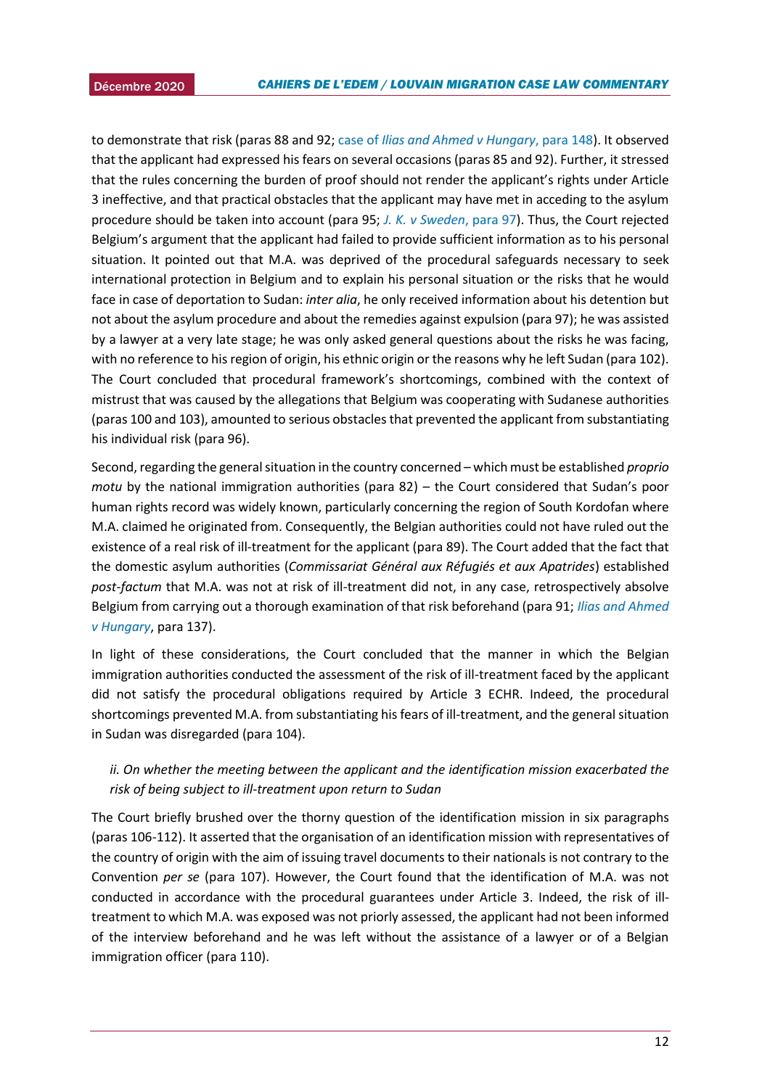2015 to demonstrate that risk (paras 88 and 92; case of *[Ilias and Ahmed v Hungary](https://hudoc.echr.coe.int/fre#{%22languageisocode%22:[%22ENG%22],%22appno%22:[%2247287/15%22],%22documentcollectionid2%22:[%22GRANDCHAMBER%22],%22itemid%22:[%22001-198760%22]})*, para 148). It observed that the applicant had expressed his fears on several occasions (paras 85 and 92). Further, it stressed that the rules concerning the burden of proof should not render the applicant's rights under Article 3 ineffective, and that practical obstacles that the applicant may have met in acceding to the asylum procedure should be taken into account (para 95; *[J. K. v Sweden](https://hudoc.echr.coe.int/fre#{%22fulltext%22:[%22j.%20k.%20sweden%22],%22documentcollectionid2%22:[%22GRANDCHAMBER%22,%22CHAMBER%22],%22itemid%22:[%22001-165442%22]})*, para 97). Thus, the Court rejected Belgium's argument that the applicant had failed to provide sufficient information as to his personal situation. It pointed out that M.A. was deprived of the procedural safeguards necessary to seek international protection in Belgium and to explain his personal situation or the risks that he would face in case of deportation to Sudan: *inter alia*, he only received information about his detention but not about the asylum procedure and about the remedies against expulsion (para 97); he was assisted by a lawyer at a very late stage; he was only asked general questions about the risks he was facing, with no reference to his region of origin, his ethnic origin or the reasons why he left Sudan (para 102). The Court concluded that procedural framework's shortcomings, combined with the context of mistrust that was caused by the allegations that Belgium was cooperating with Sudanese authorities (paras 100 and 103), amounted to serious obstacles that prevented the applicant from substantiating his individual risk (para 96).

Second, regarding the general situation in the country concerned – which must be established *proprio motu* by the national immigration authorities (para 82) – the Court considered that Sudan's poor human rights record was widely known, particularly concerning the region of South Kordofan where M.A. claimed he originated from. Consequently, the Belgian authorities could not have ruled out the existence of a real risk of ill-treatment for the applicant (para 89). The Court added that the fact that the domestic asylum authorities (*Commissariat Général aux Réfugiés et aux Apatrides*) established *post-factum* that M.A. was not at risk of ill-treatment did not, in any case, retrospectively absolve Belgium from carrying out a thorough examination of that risk beforehand (para 91; *[Ilias and Ahmed](https://hudoc.echr.coe.int/fre#{"languageisocode":["ENG"],"appno":["47287/15"],"documentcollectionid2":["GRANDCHAMBER"],"itemid":["001-198760"]})  [v Hungary](https://hudoc.echr.coe.int/fre#{"languageisocode":["ENG"],"appno":["47287/15"],"documentcollectionid2":["GRANDCHAMBER"],"itemid":["001-198760"]})*, para 137).

In light of these considerations, the Court concluded that the manner in which the Belgian immigration authorities conducted the assessment of the risk of ill-treatment faced by the applicant did not satisfy the procedural obligations required by Article 3 ECHR. Indeed, the procedural shortcomings prevented M.A. from substantiating his fears of ill-treatment, and the general situation in Sudan was disregarded (para 104).

# *ii. On whether the meeting between the applicant and the identification mission exacerbated the risk of being subject to ill-treatment upon return to Sudan*

The Court briefly brushed over the thorny question of the identification mission in six paragraphs (paras 106-112). It asserted that the organisation of an identification mission with representatives of the country of origin with the aim of issuing travel documents to their nationals is not contrary to the Convention *per se* (para 107). However, the Court found that the identification of M.A. was not conducted in accordance with the procedural guarantees under Article 3. Indeed, the risk of illtreatment to which M.A. was exposed was not priorly assessed, the applicant had not been informed of the interview beforehand and he was left without the assistance of a lawyer or of a Belgian immigration officer (para 110).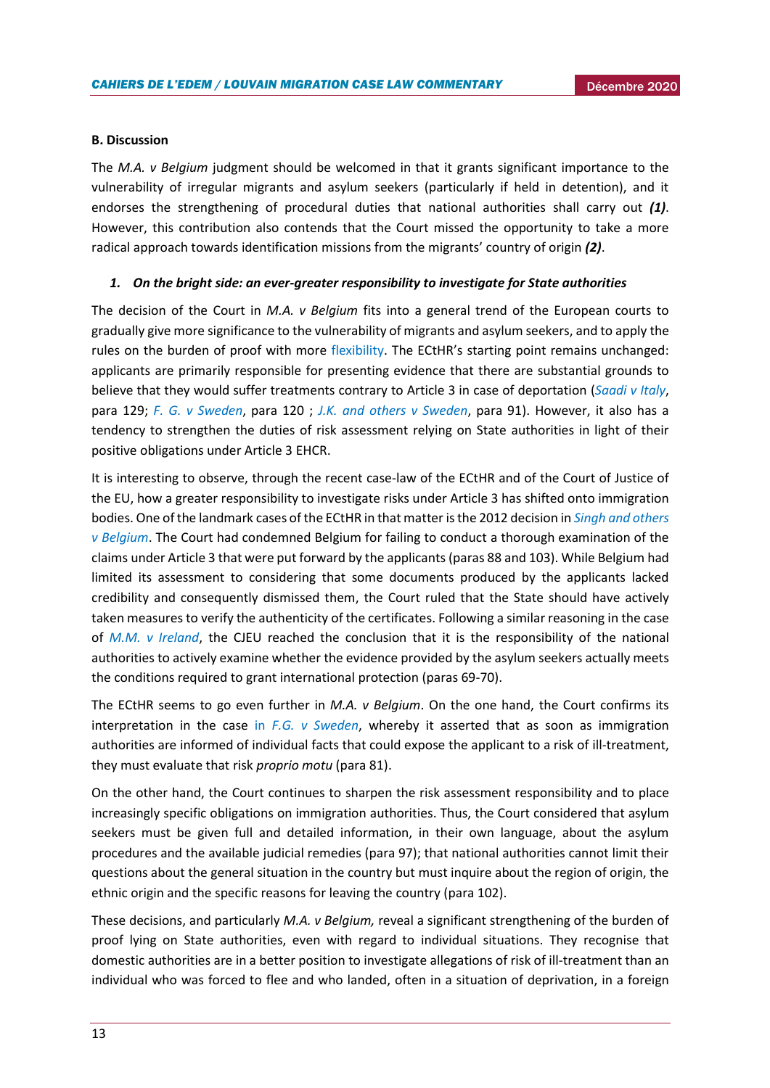#### **B. Discussion**

The *M.A. v Belgium* judgment should be welcomed in that it grants significant importance to the vulnerability of irregular migrants and asylum seekers (particularly if held in detention), and it endorses the strengthening of procedural duties that national authorities shall carry out *(1)*. However, this contribution also contends that the Court missed the opportunity to take a more radical approach towards identification missions from the migrants' country of origin *(2)*.

#### *1. On the bright side: an ever-greater responsibility to investigate for State authorities*

The decision of the Court in *M.A. v Belgium* fits into a general trend of the European courts to gradually give more significance to the vulnerability of migrants and asylum seekers, and to apply the rules on the burden of proof with more [flexibility.](https://nansen-refugee.be/wp-content/uploads/2019/01/nansen-note-3-2018-3-procedure-asile-appreciation-preuve.pdf) The ECtHR's starting point remains unchanged: applicants are primarily responsible for presenting evidence that there are substantial grounds to believe that they would suffer treatments contrary to Article 3 in case of deportation (*[Saadi v Italy](https://hudoc.echr.coe.int/fre#{"languageisocode":["ENG"],"appno":["37201/06"],"documentcollectionid2":["GRANDCHAMBER"],"itemid":["001-85276"]})*, para 129; *[F. G. v Sweden](https://hudoc.echr.coe.int/fre#{"itemid":["001-140020"]})*, para 120 ; *[J.K. and others v Sweden](https://hudoc.echr.coe.int/fre#{%22fulltext%22:[%22j.%20k.%20sweden%22],%22documentcollectionid2%22:[%22GRANDCHAMBER%22,%22CHAMBER%22],%22itemid%22:[%22001-165442%22]})*, para 91). However, it also has a tendency to strengthen the duties of risk assessment relying on State authorities in light of their positive obligations under Article 3 EHCR.

It is interesting to observe, through the recent case-law of the ECtHR and of the Court of Justice of the EU, how a greater responsibility to investigate risks under Article 3 has shifted onto immigration bodies. One of the landmark cases of the ECtHR in that matter is the 2012 decision in *[Singh and others](https://hudoc.echr.coe.int/fre#{%22fulltext%22:[%22singh%22],%22documentcollectionid2%22:[%22GRANDCHAMBER%22,%22CHAMBER%22],%22itemid%22:[%22001-113660%22]})  [v Belgium](https://hudoc.echr.coe.int/fre#{%22fulltext%22:[%22singh%22],%22documentcollectionid2%22:[%22GRANDCHAMBER%22,%22CHAMBER%22],%22itemid%22:[%22001-113660%22]})*. The Court had condemned Belgium for failing to conduct a thorough examination of the claims under Article 3 that were put forward by the applicants (paras 88 and 103). While Belgium had limited its assessment to considering that some documents produced by the applicants lacked credibility and consequently dismissed them, the Court ruled that the State should have actively taken measures to verify the authenticity of the certificates. Following a similar reasoning in the case of *[M.M. v Ireland](http://curia.europa.eu/juris/document/document.jsf?docid=130241&doclang=EN)*, the CJEU reached the conclusion that it is the responsibility of the national authorities to actively examine whether the evidence provided by the asylum seekers actually meets the conditions required to grant international protection (paras 69-70).

The ECtHR seems to go even further in *M.A. v Belgium*. On the one hand, the Court confirms its interpretation in the case in *[F.G. v Sweden](https://hudoc.echr.coe.int/fre#{%22fulltext%22:[%22f%20g%20sweden%22],%22documentcollectionid2%22:[%22GRANDCHAMBER%22,%22CHAMBER%22],%22itemid%22:[%22001-161829%22]})*, whereby it asserted that as soon as immigration authorities are informed of individual facts that could expose the applicant to a risk of ill-treatment, they must evaluate that risk *proprio motu* (para 81).

On the other hand, the Court continues to sharpen the risk assessment responsibility and to place increasingly specific obligations on immigration authorities. Thus, the Court considered that asylum seekers must be given full and detailed information, in their own language, about the asylum procedures and the available judicial remedies (para 97); that national authorities cannot limit their questions about the general situation in the country but must inquire about the region of origin, the ethnic origin and the specific reasons for leaving the country (para 102).

These decisions, and particularly *M.A. v Belgium,* reveal a significant strengthening of the burden of proof lying on State authorities, even with regard to individual situations. They recognise that domestic authorities are in a better position to investigate allegations of risk of ill-treatment than an individual who was forced to flee and who landed, often in a situation of deprivation, in a foreign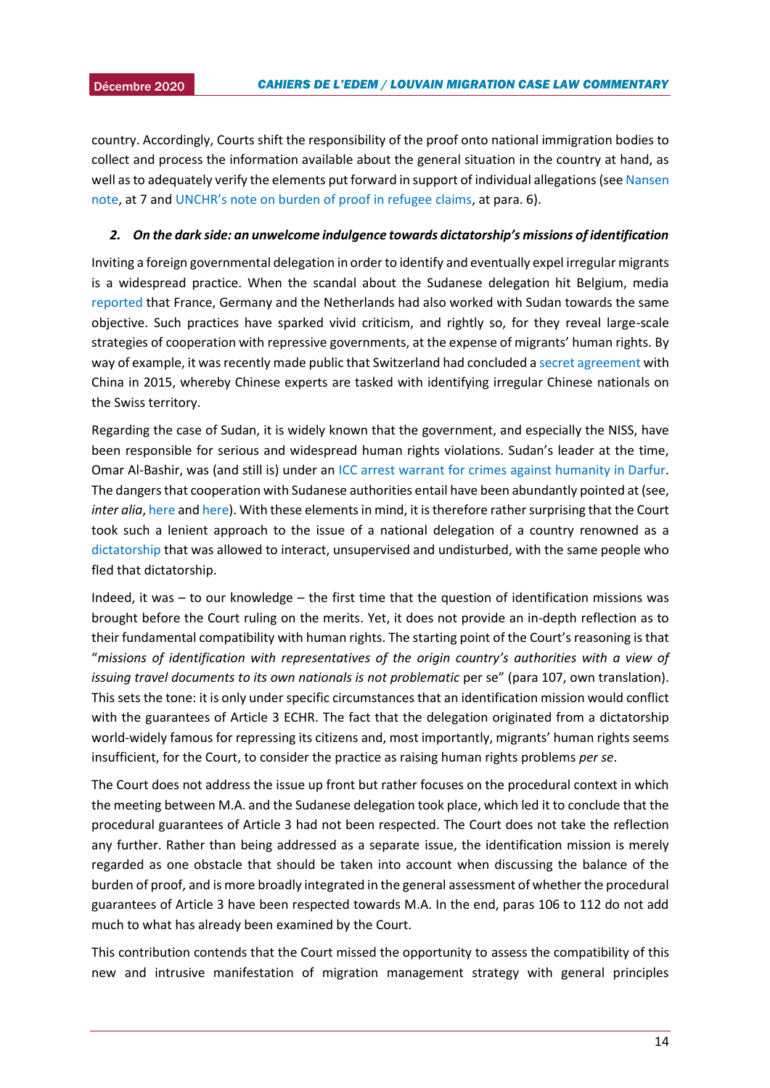2015 country. Accordingly, Courts shift the responsibility of the proof onto national immigration bodies to collect and process the information available about the general situation in the country at hand, as well asto adequately verify the elements put forward in support of individual allegations (se[e Nansen](https://nansen-refugee.be/wp-content/uploads/2019/01/nansen-note-3-2018-3-procedure-asile-appreciation-preuve.pdf)  [note,](https://nansen-refugee.be/wp-content/uploads/2019/01/nansen-note-3-2018-3-procedure-asile-appreciation-preuve.pdf) at 7 and [UNCHR's note on burden of proof in refugee claims](https://www.refworld.org/docid/3ae6b3338.html), at para. 6).

#### *2. On the dark side: an unwelcome indulgence towards dictatorship's missions of identification*

Inviting a foreign governmental delegation in order to identify and eventually expel irregular migrants is a widespread practice. When the scandal about the Sudanese delegation hit Belgium, media [reported](https://www.lecho.be/dossier/migrants/Malaise-et-tolle-autour-de-la-delegation-soudanaise/9934754) that France, Germany and the Netherlands had also worked with Sudan towards the same objective. Such practices have sparked vivid criticism, and rightly so, for they reveal large-scale strategies of cooperation with repressive governments, at the expense of migrants' human rights. By way of example, it was recently made public that Switzerland had concluded [a secret agreement](https://safeguarddefenders.com/sites/default/files/2015.12.08_Vereinbarung%20Identifikation%20von%20mutmasslich%20chinesischen%20Staatsangeh%C3%B6rigen_angl.pdf) with China in 2015, whereby Chinese experts are tasked with identifying irregular Chinese nationals on the Swiss territory.

Regarding the case of Sudan, it is widely known that the government, and especially the NISS, have been responsible for serious and widespread human rights violations. Sudan's leader at the time, Omar Al-Bashir, was (and still is) under an [ICC arrest warrant for crimes against humanity in Darfur.](https://www.icc-cpi.int/pages/record.aspx?uri=639096) The dangers that cooperation with Sudanese authorities entail have been abundantly pointed at (see, *inter alia*, [here](https://enoughproject.org/blog/new-report-border-control-hell-how-eus-migration-partnership-legitimizes-sudans-militia-state#:~:text=Today%2C%20the%20Enough%20Project%20released,of%20a%20migration%20management%20program) an[d here\)](https://www.eepa.be/wp-content/uploads/2020/02/Book3-Chapter-20-Maddy-Crowther-_-Martin-Plaut-research-gate.pdf). With these elements in mind, it is therefore rather surprising that the Court took such a lenient approach to the issue of a national delegation of a country renowned as a [dictatorship](https://www.dabangasudan.org/en/all-news/article/five-challenges-sudan-faces-after-30-years-of-dictatorship) that was allowed to interact, unsupervised and undisturbed, with the same people who fled that dictatorship.

Indeed, it was – to our knowledge – the first time that the question of identification missions was brought before the Court ruling on the merits. Yet, it does not provide an in-depth reflection as to their fundamental compatibility with human rights. The starting point of the Court's reasoning is that "*missions of identification with representatives of the origin country's authorities with a view of issuing travel documents to its own nationals is not problematic per se*" (para 107, own translation). This sets the tone: it is only under specific circumstances that an identification mission would conflict with the guarantees of Article 3 ECHR. The fact that the delegation originated from a dictatorship world-widely famous for repressing its citizens and, most importantly, migrants' human rights seems insufficient, for the Court, to consider the practice as raising human rights problems *per se*.

The Court does not address the issue up front but rather focuses on the procedural context in which the meeting between M.A. and the Sudanese delegation took place, which led it to conclude that the procedural guarantees of Article 3 had not been respected. The Court does not take the reflection any further. Rather than being addressed as a separate issue, the identification mission is merely regarded as one obstacle that should be taken into account when discussing the balance of the burden of proof, and is more broadly integrated in the general assessment of whether the procedural guarantees of Article 3 have been respected towards M.A. In the end, paras 106 to 112 do not add much to what has already been examined by the Court.

This contribution contends that the Court missed the opportunity to assess the compatibility of this new and intrusive manifestation of migration management strategy with general principles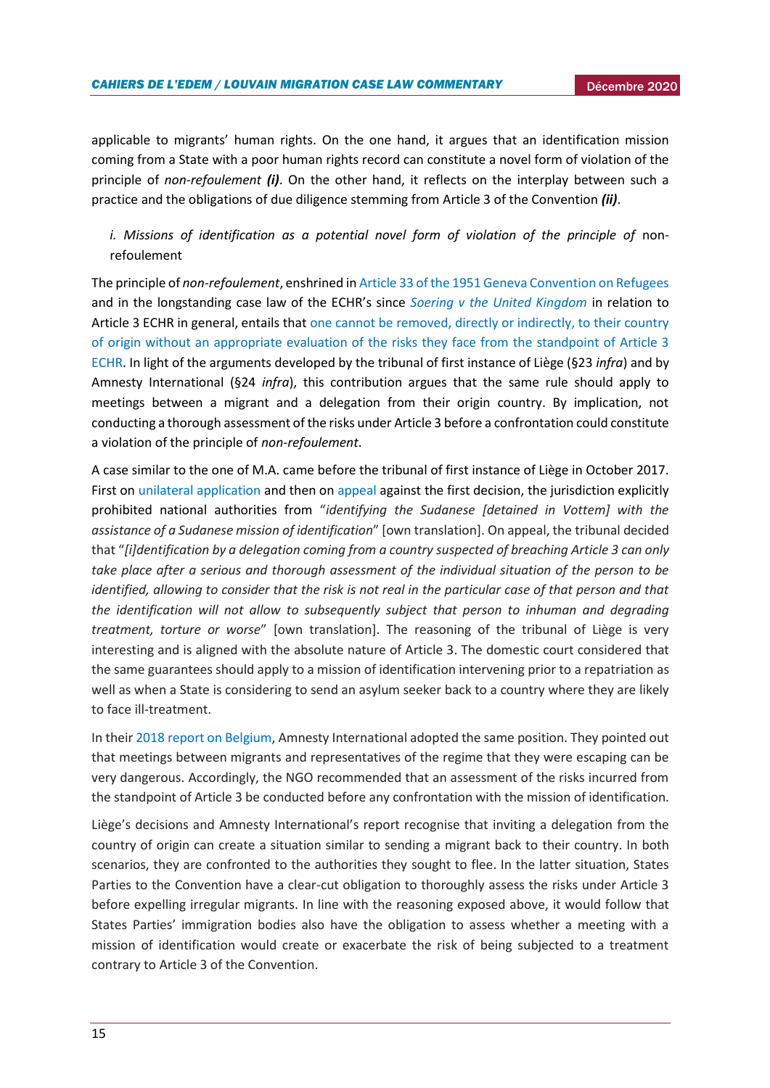applicable to migrants' human rights. On the one hand, it argues that an identification mission coming from a State with a poor human rights record can constitute a novel form of violation of the principle of *non-refoulement (i)*. On the other hand, it reflects on the interplay between such a practice and the obligations of due diligence stemming from Article 3 of the Convention *(ii)*.

# *i. Missions of identification as a potential novel form of violation of the principle of non*refoulement

The principle of *non-refoulement*, enshrined i[n Article 33 of the 1951 Geneva Convention on Refugees](https://www.ohchr.org/en/professionalinterest/pages/statusofrefugees.aspx) and in the longstanding case law of the ECHR's since *[Soering v the United Kingdom](https://hudoc.echr.coe.int/fre#{%22fulltext%22:[%22soering%22],%22documentcollectionid2%22:[%22GRANDCHAMBER%22,%22CHAMBER%22],%22itemid%22:[%22001-57619%22]})* in relation to Article 3 ECHR in general, entails tha[t one cannot be removed, directly or indirectly, to their country](https://www.echr.coe.int/Documents/Guide_Immigration_ENG.pdf)  [of origin without an appropriate evaluation of the risks they face from the standpoint of Article 3](https://www.echr.coe.int/Documents/Guide_Immigration_ENG.pdf)  [ECHR.](https://www.echr.coe.int/Documents/Guide_Immigration_ENG.pdf) In light of the arguments developed by the tribunal of first instance of Liège (§23 *infra*) and by Amnesty International (§24 *infra*), this contribution argues that the same rule should apply to meetings between a migrant and a delegation from their origin country. By implication, not conducting a thorough assessment of the risks under Article 3 before a confrontation could constitute a violation of the principle of *non-refoulement*.

A case similar to the one of M.A. came before the tribunal of first instance of Liège in October 2017. First on [unilateral application](https://www.liguedh.be/wp-content/uploads/2017/12/requete-et-ordonnance-du-9-octobre-2017.pdf) and then on [appeal](http://www.liguedh.be/wp-content/uploads/2017/12/ordonnance_liege_181017.pdf) against the first decision, the jurisdiction explicitly prohibited national authorities from "*identifying the Sudanese [detained in Vottem] with the assistance of a Sudanese mission of identification*" [own translation]. On appeal, the tribunal decided that "*[i]dentification by a delegation coming from a country suspected of breaching Article 3 can only take place after a serious and thorough assessment of the individual situation of the person to be identified, allowing to consider that the risk is not real in the particular case of that person and that the identification will not allow to subsequently subject that person to inhuman and degrading treatment, torture or worse*" [own translation]. The reasoning of the tribunal of Liège is very interesting and is aligned with the absolute nature of Article 3. The domestic court considered that the same guarantees should apply to a mission of identification intervening prior to a repatriation as well as when a State is considering to send an asylum seeker back to a country where they are likely to face ill-treatment.

In thei[r 2018 report on Belgium,](https://www.amnesty.be/infos/blogs/blog-paroles-chercheurs-defenseurs-victimes/article/renvoi-au-soudan-amnesty-avait-prevenu-la-belgique) Amnesty International adopted the same position. They pointed out that meetings between migrants and representatives of the regime that they were escaping can be very dangerous. Accordingly, the NGO recommended that an assessment of the risks incurred from the standpoint of Article 3 be conducted before any confrontation with the mission of identification.

Liège's decisions and Amnesty International's report recognise that inviting a delegation from the country of origin can create a situation similar to sending a migrant back to their country. In both scenarios, they are confronted to the authorities they sought to flee. In the latter situation, States Parties to the Convention have a clear-cut obligation to thoroughly assess the risks under Article 3 before expelling irregular migrants. In line with the reasoning exposed above, it would follow that States Parties' immigration bodies also have the obligation to assess whether a meeting with a mission of identification would create or exacerbate the risk of being subjected to a treatment contrary to Article 3 of the Convention.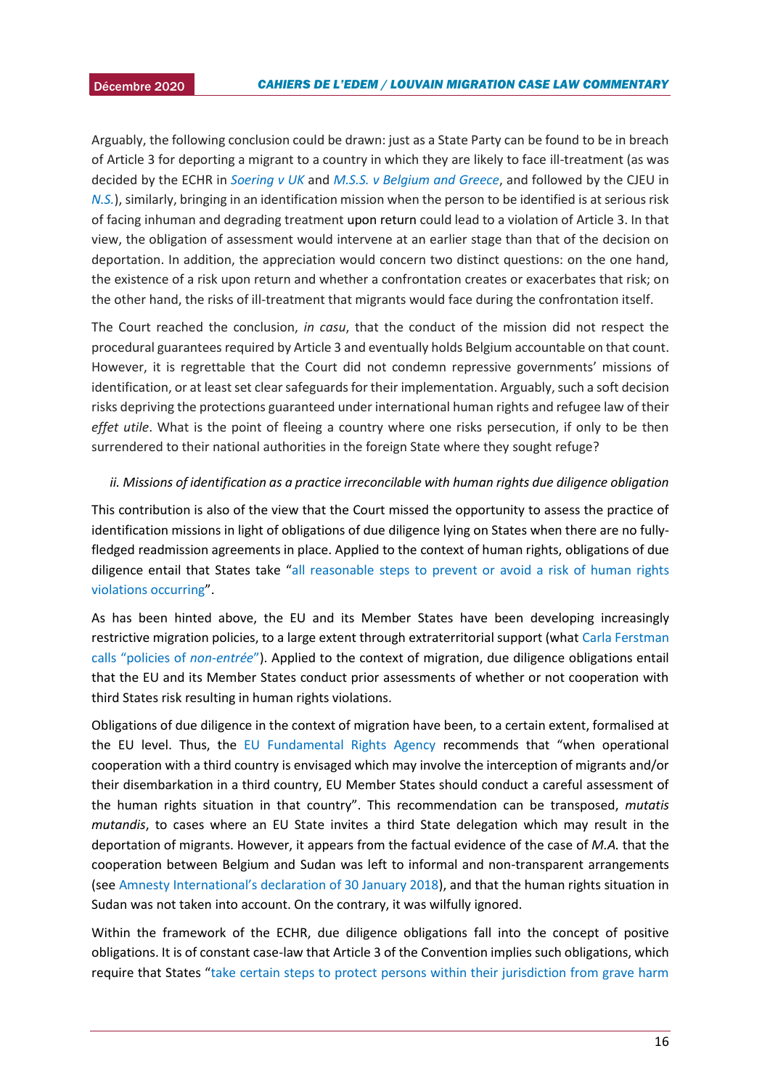Arguably, the following conclusion could be drawn: just as a State Party can be found to be in breach of Article 3 for deporting a migrant to a country in which they are likely to face ill-treatment (as was decided by the ECHR in *[Soering v UK](https://hudoc.echr.coe.int/fre#{%22fulltext%22:[%22soering%20v%20united%20kingdom%22],%22documentcollectionid2%22:[%22GRANDCHAMBER%22,%22CHAMBER%22],%22itemid%22:[%22001-57619%22]})* and *[M.S.S. v Belgium and Greece](https://hudoc.echr.coe.int/eng#{%22fulltext%22:[%22mss%22],%22documentcollectionid2%22:[%22GRANDCHAMBER%22,%22CHAMBER%22],%22itemid%22:[%22001-103050%22]})*, and followed by the CJEU in *[N.S.](https://eur-lex.europa.eu/legal-content/EN/TXT/PDF/?uri=CELEX:62010CJ0411&from=EN)*), similarly, bringing in an identification mission when the person to be identified is at serious risk of facing inhuman and degrading treatment upon return could lead to a violation of Article 3. In that view, the obligation of assessment would intervene at an earlier stage than that of the decision on deportation. In addition, the appreciation would concern two distinct questions: on the one hand, the existence of a risk upon return and whether a confrontation creates or exacerbates that risk; on the other hand, the risks of ill-treatment that migrants would face during the confrontation itself.

The Court reached the conclusion, *in casu*, that the conduct of the mission did not respect the procedural guarantees required by Article 3 and eventually holds Belgium accountable on that count. However, it is regrettable that the Court did not condemn repressive governments' missions of identification, or at least set clear safeguards for their implementation. Arguably, such a soft decision risks depriving the protections guaranteed under international human rights and refugee law of their *effet utile*. What is the point of fleeing a country where one risks persecution, if only to be then surrendered to their national authorities in the foreign State where they sought refuge?

#### *ii. Missions of identification as a practice irreconcilable with human rights due diligence obligation*

This contribution is also of the view that the Court missed the opportunity to assess the practice of identification missions in light of obligations of due diligence lying on States when there are no fullyfledged readmission agreements in place. Applied to the context of human rights, obligations of due diligence entail that States take "[all reasonable steps to prevent or avoid a risk of human rights](https://www.researchgate.net/publication/340505865_Human_Rights_Due_Diligence_Policies_Applied_to_Extraterritorial_Cooperation_to_Prevent_Irregular_Migration_European_Union_and_United_Kingdom_Support_to_Libya)  [violations occurring](https://www.researchgate.net/publication/340505865_Human_Rights_Due_Diligence_Policies_Applied_to_Extraterritorial_Cooperation_to_Prevent_Irregular_Migration_European_Union_and_United_Kingdom_Support_to_Libya)".

As has been hinted above, the EU and its Member States have been developing increasingly restrictive migration policies, to a large extent through extraterritorial support (what [Carla Ferstman](https://www.researchgate.net/publication/340505865_Human_Rights_Due_Diligence_Policies_Applied_to_Extraterritorial_Cooperation_to_Prevent_Irregular_Migration_European_Union_and_United_Kingdom_Support_to_Libya)  [calls "policies of](https://www.researchgate.net/publication/340505865_Human_Rights_Due_Diligence_Policies_Applied_to_Extraterritorial_Cooperation_to_Prevent_Irregular_Migration_European_Union_and_United_Kingdom_Support_to_Libya) *non-entrée*"). Applied to the context of migration, due diligence obligations entail that the EU and its Member States conduct prior assessments of whether or not cooperation with third States risk resulting in human rights violations.

Obligations of due diligence in the context of migration have been, to a certain extent, formalised at the EU level. Thus, the [EU Fundamental Rights Agency](https://fra.europa.eu/sites/default/files/fra_uploads/fra-2016-guidance-reducing-refoulement-risk-0_en.pdf) recommends that "when operational cooperation with a third country is envisaged which may involve the interception of migrants and/or their disembarkation in a third country, EU Member States should conduct a careful assessment of the human rights situation in that country". This recommendation can be transposed, *mutatis mutandis*, to cases where an EU State invites a third State delegation which may result in the deportation of migrants. However, it appears from the factual evidence of the case of *M.A.* that the cooperation between Belgium and Sudan was left to informal and non-transparent arrangements (see [Amnesty International's declaration of 30 January 2018](https://www.amnesty.org/en/documents/eur14/7811/2018/en/)), and that the human rights situation in Sudan was not taken into account. On the contrary, it was wilfully ignored.

Within the framework of the ECHR, due diligence obligations fall into the concept of positive obligations. It is of constant case-law that Article 3 of the Convention implies such obligations, which require that States "[take certain steps to protect persons within their jurisdiction from grave harm](https://strasbourgobservers.com/2020/04/07/positive-obligations-in-crisis/)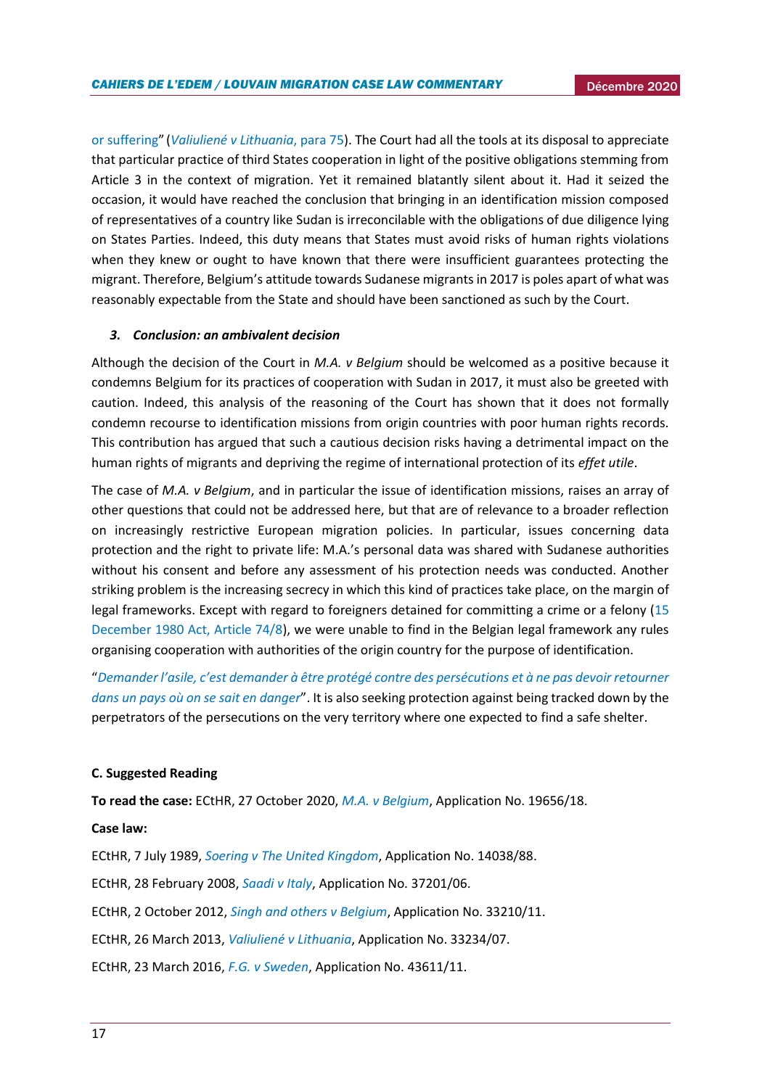[or suffering](https://strasbourgobservers.com/2020/04/07/positive-obligations-in-crisis/)" (*[Valiuliené v Lithuania](https://hudoc.echr.coe.int/eng#{%22itemid%22:[%22001-117636%22]})*, para 75). The Court had all the tools at its disposal to appreciate that particular practice of third States cooperation in light of the positive obligations stemming from Article 3 in the context of migration. Yet it remained blatantly silent about it. Had it seized the occasion, it would have reached the conclusion that bringing in an identification mission composed of representatives of a country like Sudan is irreconcilable with the obligations of due diligence lying on States Parties. Indeed, this duty means that States must avoid risks of human rights violations when they knew or ought to have known that there were insufficient guarantees protecting the migrant. Therefore, Belgium's attitude towards Sudanese migrants in 2017 is poles apart of what was reasonably expectable from the State and should have been sanctioned as such by the Court.

#### *3. Conclusion: an ambivalent decision*

Although the decision of the Court in *M.A. v Belgium* should be welcomed as a positive because it condemns Belgium for its practices of cooperation with Sudan in 2017, it must also be greeted with caution. Indeed, this analysis of the reasoning of the Court has shown that it does not formally condemn recourse to identification missions from origin countries with poor human rights records. This contribution has argued that such a cautious decision risks having a detrimental impact on the human rights of migrants and depriving the regime of international protection of its *effet utile*.

The case of *M.A. v Belgium*, and in particular the issue of identification missions, raises an array of other questions that could not be addressed here, but that are of relevance to a broader reflection on increasingly restrictive European migration policies. In particular, issues concerning data protection and the right to private life: M.A.'s personal data was shared with Sudanese authorities without his consent and before any assessment of his protection needs was conducted. Another striking problem is the increasing secrecy in which this kind of practices take place, on the margin of legal frameworks. Except with regard to foreigners detained for committing a crime or a felony [\(15](http://www.ejustice.just.fgov.be/cgi_loi/change_lg.pl?language=fr&la=F&cn=1980121530&table_name=loi)  [December 1980 Act, Article 74/8\)](http://www.ejustice.just.fgov.be/cgi_loi/change_lg.pl?language=fr&la=F&cn=1980121530&table_name=loi), we were unable to find in the Belgian legal framework any rules organising cooperation with authorities of the origin country for the purpose of identification.

"*Demander l'asile, c'est d[emander à être protégé contre des persécutions et à ne pas devoir retourner](https://www.acatfrance.fr/public/4-c336-vp-asile.pdf)  [dans un pays où on se sait en danger](https://www.acatfrance.fr/public/4-c336-vp-asile.pdf)*". It is also seeking protection against being tracked down by the perpetrators of the persecutions on the very territory where one expected to find a safe shelter.

#### **C. Suggested Reading**

**To read the case:** ECtHR, 27 October 2020, *[M.A. v Belgium](https://hudoc.echr.coe.int/fre#{%22fulltext%22:[%22M.A.%20c%20belgique%22],%22itemid%22:[%22001-205377%22]})*, Application No. 19656/18.

#### **Case law:**

ECtHR, 7 July 1989, *[Soering v The United Kingdom](https://hudoc.echr.coe.int/fre#{%22fulltext%22:[%22soering%20v%20united%20kingdom%22],%22documentcollectionid2%22:[%22GRANDCHAMBER%22,%22CHAMBER%22],%22itemid%22:[%22001-57619%22]})*, Application No. 14038/88. ECtHR, 28 February 2008, *[Saadi v Italy](https://hudoc.echr.coe.int/fre#{%22languageisocode%22:[%22ENG%22],%22appno%22:[%2237201/06%22],%22documentcollectionid2%22:[%22GRANDCHAMBER%22],%22itemid%22:[%22001-85276%22]})*, Application No. 37201/06. ECtHR, 2 October 2012, *[Singh and others v Belgium](https://hudoc.echr.coe.int/fre#{%22fulltext%22:[%22singh%22],%22documentcollectionid2%22:[%22GRANDCHAMBER%22,%22CHAMBER%22],%22itemid%22:[%22001-113660%22]})*, Application No. 33210/11. ECtHR, 26 March 2013, *[Valiuliené v Lithuania](https://hudoc.echr.coe.int/eng#{%22itemid%22:[%22001-117636%22]})*, Application No. 33234/07. ECtHR, 23 March 2016, *[F.G. v Sweden](https://hudoc.echr.coe.int/fre#{%22itemid%22:[%22001-140020%22]})*, Application No. 43611/11.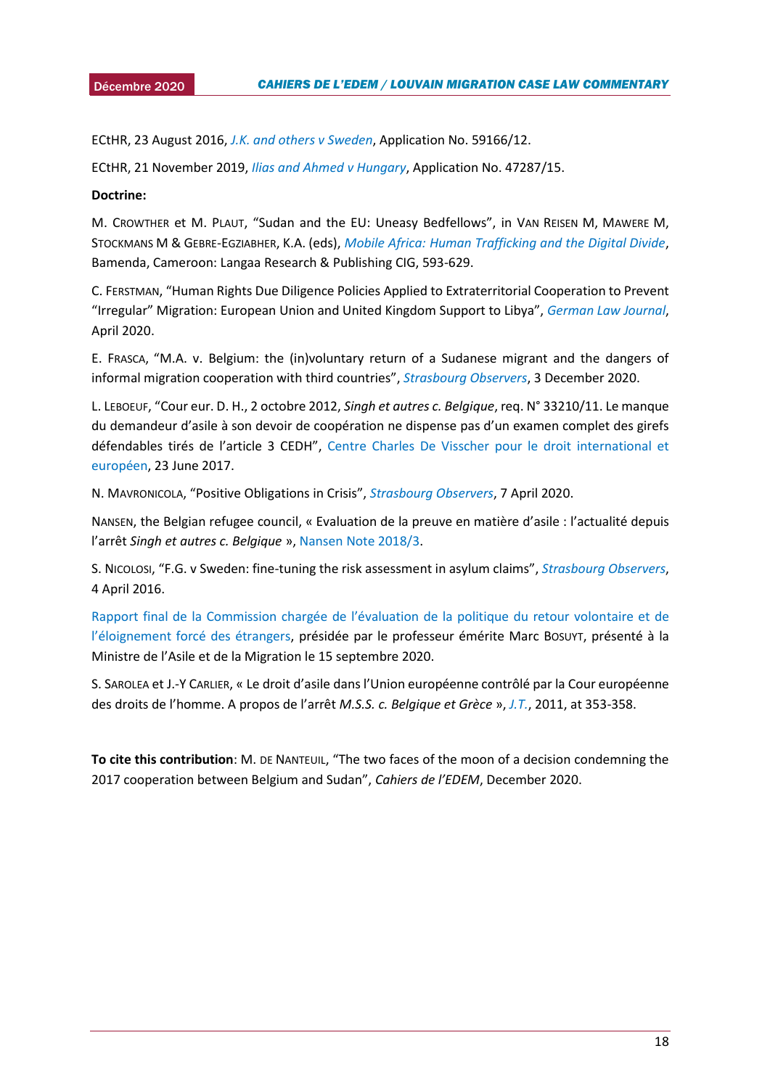2015 ECtHR, 23 August 2016, *[J.K. and others v](https://hudoc.echr.coe.int/fre#{%22fulltext%22:[%22j.%20k.%20sweden%22],%22documentcollectionid2%22:[%22GRANDCHAMBER%22,%22CHAMBER%22],%22itemid%22:[%22001-165442%22]}) Sweden*, Application No. 59166/12.

ECtHR, 21 November 2019, *[Ilias and Ahmed v Hungary](https://hudoc.echr.coe.int/fre#{%22languageisocode%22:[%22ENG%22],%22appno%22:[%2247287/15%22],%22documentcollectionid2%22:[%22GRANDCHAMBER%22],%22itemid%22:[%22001-198760%22]})*, Application No. 47287/15.

#### **Doctrine:**

M. CROWTHER et M. PLAUT, "Sudan and the EU: Uneasy Bedfellows", in VAN REISEN M, MAWERE M, STOCKMANS M & GEBRE-EGZIABHER, K.A. (eds), *[Mobile Africa: Human Trafficking and the Digital Divide](https://www.eepa.be/wp-content/uploads/2020/02/Book3-Chapter-20-Maddy-Crowther-_-Martin-Plaut-research-gate.pdf)*, Bamenda, Cameroon: Langaa Research & Publishing CIG, 593-629.

C. FERSTMAN, "Human Rights Due Diligence Policies Applied to Extraterritorial Cooperation to Prevent "Irregular" Migration: European Union and United Kingdom Support to Libya", *[German Law Journal](https://www.researchgate.net/publication/340505865_Human_Rights_Due_Diligence_Policies_Applied_to_Extraterritorial_Cooperation_to_Prevent_Irregular_Migration_European_Union_and_United_Kingdom_Support_to_Libya)*, April 2020.

E. FRASCA, "M.A. v. Belgium: the (in)voluntary return of a Sudanese migrant and the dangers of informal migration cooperation with third countries", *[Strasbourg Observers](https://strasbourgobservers.com/2020/12/03/m-a-v-belgium-the-involuntary-return-of-a-sudanese-migrant-and-the-dangers-of-informal-migration-cooperation-with-third-countries/)*, 3 December 2020.

L. LEBOEUF, "Cour eur. D. H., 2 octobre 2012, *Singh et autres c. Belgique*, req. N° 33210/11. Le manque du demandeur d'asile à son devoir de coopération ne dispense pas d'un examen complet des girefs défendables tirés de l'article 3 CEDH", [Centre Charles De Visscher pour le droit international et](https://uclouvain.be/fr/instituts-recherche/juri/cedie/actualites/cour-eur-d-h-2-octobre-2012-singh-et-autres-c-belgique-req-n-33210-11.html)  [européen,](https://uclouvain.be/fr/instituts-recherche/juri/cedie/actualites/cour-eur-d-h-2-octobre-2012-singh-et-autres-c-belgique-req-n-33210-11.html) 23 June 2017.

N. MAVRONICOLA, "Positive Obligations in Crisis", *[Strasbourg Observers](https://strasbourgobservers.com/2020/04/07/positive-obligations-in-crisis/)*, 7 April 2020.

NANSEN, the Belgian refugee council, « Evaluation de la preuve en matière d'asile : l'actualité depuis l'arrêt *Singh et autres c. Belgique* »[, Nansen Note 2018/3.](https://nansen-refugee.be/wp-content/uploads/2019/01/nansen-note-3-2018-3-procedure-asile-appreciation-preuve.pdf)

S. NICOLOSI, "F.G. v Sweden: fine-tuning the risk assessment in asylum claims", *[Strasbourg Observers](https://strasbourgobservers.com/2016/04/04/f-g-v-sweden-fine-tuning-the-risk-assessment-in-asylum-claims/)*, 4 April 2016.

[Rapport final de la Commission chargée de l'évaluation de la politique du retour volon](https://www.aigpol.be/sites/aigpol/files/attachments/Rapport%20final%20de%20la%20Commission%20Bossuyt%20-%20Septembre%202020.pdf)taire et de [l'éloignement forcé des étrangers](https://www.aigpol.be/sites/aigpol/files/attachments/Rapport%20final%20de%20la%20Commission%20Bossuyt%20-%20Septembre%202020.pdf), présidée par le professeur émérite Marc BOSUYT, présenté à la Ministre de l'Asile et de la Migration le 15 septembre 2020.

S. SAROLEA et J.-Y CARLIER, « Le droit d'asile dans l'Union européenne contrôlé par la Cour européenne des droits de l'homme. A propos de l'arrêt *M.S.S. c. Belgique et Grèce* », *[J.T.](https://dial.uclouvain.be/pr/boreal/fr/object/boreal%3A106785/datastreams)*, 2011, at 353-358.

**To cite this contribution**: M. DE NANTEUIL, "The two faces of the moon of a decision condemning the 2017 cooperation between Belgium and Sudan", *Cahiers de l'EDEM*, December 2020.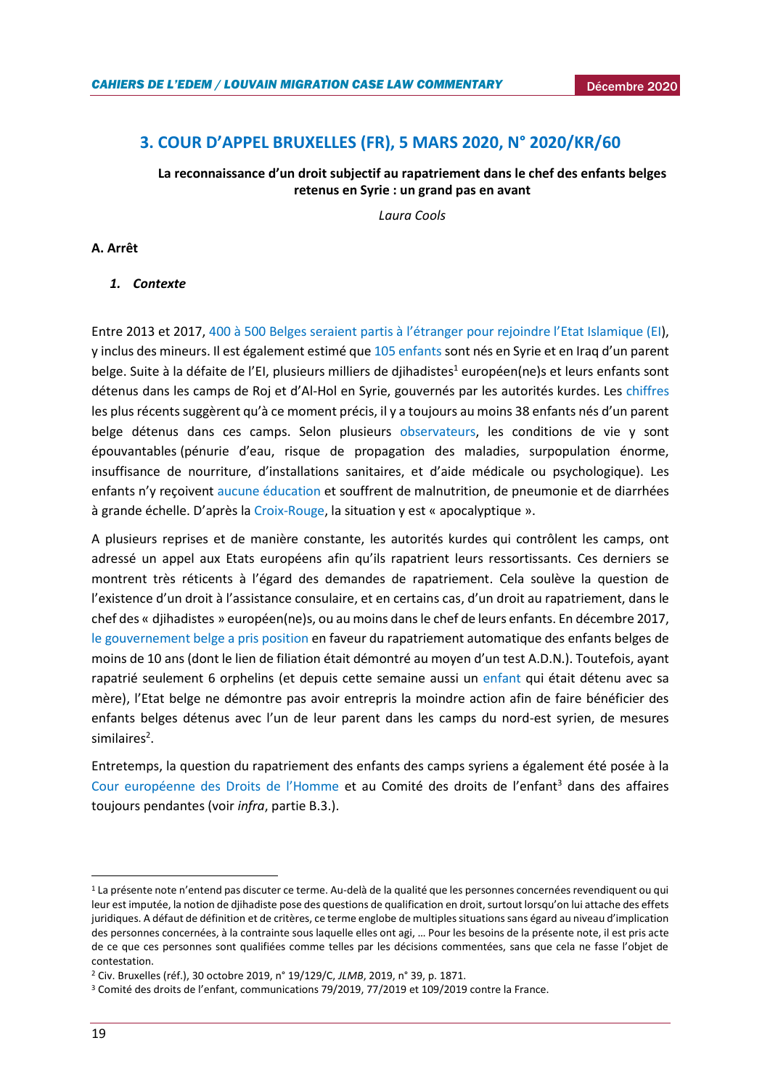# <span id="page-18-0"></span>**3. COUR D'APPEL BRUXELLES (FR), 5 MARS 2020, N° 2020/KR/60**

## **La reconnaissance d'un droit subjectif au rapatriement dans le chef des enfants belges retenus en Syrie : un grand pas en avant**

*Laura Cools*

## **A. Arrêt**

#### *1. Contexte*

Entre 2013 et 2017, 400 à [500 Belges seraient partis à l'étranger pour rejoindre l'](https://www.egmontinstitute.be/content/uploads/2018/02/egmont.papers.101_online_v1-3.pdf?type=pdf)Etat Islamique (EI), y inclus des mineurs. Il est également estimé qu[e 105 enfants](https://www.egmontinstitute.be/content/uploads/2020/10/SPB130_final.pdf?type=pdf) sont nés en Syrie et en Iraq d'un parent belge. Suite à la défaite de l'EI, plusieurs milliers de djihadistes<sup>1</sup> européen(ne)s et leurs enfants sont détenus dans les camps de Roj et d'Al-Hol en Syrie, gouvernés par les autorités kurdes. Les [chiffres](https://www.egmontinstitute.be/content/uploads/2020/10/SPB130_final.pdf?type=pdf) les plus récents suggèrent qu'à ce moment précis, il y a toujours au moins 38 enfants nés d'un parent belge détenus dans ces camps. Selon plusieurs [observateurs,](http://www.doctorswithoutborders.org/what-we-do/news-stories/news/syriawomen-and-children-suffer-amid-poor-conditions-al-hol-camp) les conditions de vie y sont épouvantables (pénurie d'eau, risque de propagation des maladies, surpopulation énorme, insuffisance de nourriture, d'installations sanitaires, et d'aide médicale ou psychologique). Les enfants n'y reçoivent [aucune éducation](https://www.savethechildren.org.au/our-stories/al-hol-no-place-for-innocents) et souffrent de [malnutrition,](https://context.reverso.net/vertaling/frans-engels/malnutrition) de pneumonie et de diarrhées à grande échelle. D'après la [Croix-Rouge,](https://twitter.com/ICRC/status/1111678994968203265) la situation y est « apocalyptique ».

A plusieurs reprises et de manière constante, les autorités kurdes qui contrôlent les camps, ont adressé un appel aux Etats européens afin qu'ils rapatrient leurs ressortissants. Ces derniers se montrent très réticents à l'égard des demandes de rapatriement. Cela soulève la question de l'existence d'un droit à l'assistance consulaire, et en certains cas, d'un droit au rapatriement, dans le chef des « djihadistes » européen(ne)s, ou au moins dans le chef de leurs enfants. En décembre 2017, [le gouvernement belge a pris position](https://www.vrt.be/vrtnws/nl/2017/12/22/automatisch-terugkeerrecht-voor-kinderen-is-strijders-van-minder/) en faveur du rapatriement automatique des enfants belges de moins de 10 ans (dont le lien de filiation était démontré au moyen d'un test A.D.N.). Toutefois, ayant rapatrié seulement 6 orphelins (et depuis cette semaine aussi un [enfant](https://www.demorgen.be/nieuws/belgie-haalt-kind-terug-uit-kamp-in-syrie-ik-wil-bij-mijn-papa-zijn~b80d18bb/) qui était détenu avec sa mère), l'Etat belge ne démontre pas avoir entrepris la moindre action afin de faire bénéficier des enfants belges détenus avec l'un de leur parent dans les camps du nord-est syrien, de mesures similaires<sup>2</sup>.

Entretemps, la question du rapatriement des enfants des camps syriens a également été posée à la [Cour européenne des Droits de l'Homme](https://www.lefigaro.fr/international/rapatriement-d-enfants-de-djihadistes-un-recours-inedit-contre-la-france-devant-la-cedh-20190506) et au Comité des droits de l'enfant<sup>3</sup> dans des affaires toujours pendantes (voir *infra*, partie B.3.).

1

<sup>&</sup>lt;sup>1</sup> La présente note n'entend pas discuter ce terme. Au-delà de la qualité que les personnes concernées revendiquent ou qui leur est imputée, la notion de djihadiste pose des questions de qualification en droit, surtout lorsqu'on lui attache des effets juridiques. A défaut de définition et de critères, ce terme englobe de multiples situations sans égard au niveau d'implication des personnes concernées, à la contrainte sous laquelle elles ont agi, … Pour les besoins de la présente note, il est pris acte de ce que ces personnes sont qualifiées comme telles par les décisions commentées, sans que cela ne fasse l'objet de contestation.

<sup>2</sup> Civ. Bruxelles (réf.), 30 octobre 2019, n° 19/129/C, *JLMB*, 2019, n° 39, p. 1871.

<sup>3</sup> Comité des droits de l'enfant, communications 79/2019, 77/2019 et 109/2019 contre la France.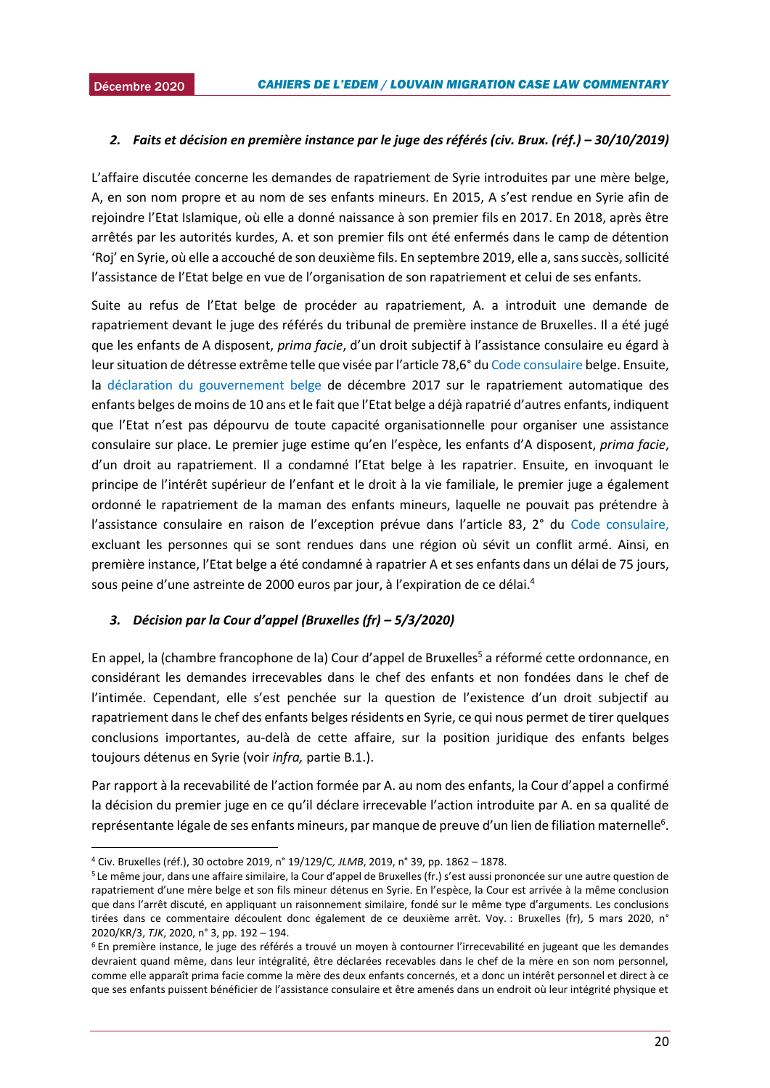**.** 

## 2015*2. Faits et décision en première instance par le juge des référés (civ. Brux. (réf.) – 30/10/2019)*

L'affaire discutée concerne les demandes de rapatriement de Syrie introduites par une mère belge, A, en son nom propre et au nom de ses enfants mineurs. En 2015, A s'est rendue en Syrie afin de rejoindre l'Etat Islamique, où elle a donné naissance à son premier fils en 2017. En 2018, après être arrêtés par les autorités kurdes, A. et son premier fils ont été enfermés dans le camp de détention 'Roj' en Syrie, où elle a accouché de son deuxième fils. En septembre 2019, elle a, sans succès, sollicité l'assistance de l'Etat belge en vue de l'organisation de son rapatriement et celui de ses enfants.

Suite au refus de l'Etat belge de procéder au rapatriement, A. a introduit une demande de rapatriement devant le juge des référés du tribunal de première instance de Bruxelles. Il a été jugé que les enfants de A disposent, *prima facie*, d'un droit subjectif à l'assistance consulaire eu égard à leur situation de détresse extrême telle que visée par l'article 78,6° du [Code consulaire](https://www.ejustice.just.fgov.be/cgi_loi/change_lg.pl?language=fr&la=F&table_name=loi&cn=2013122152) belge. Ensuite, la [déclaration du gouvernement belge](https://www.vrt.be/vrtnws/nl/2017/12/22/automatisch-terugkeerrecht-voor-kinderen-is-strijders-van-minder/) de décembre 2017 sur le rapatriement automatique des enfants belges de moins de 10 ans et le fait que l'Etat belge a déjà rapatrié d'autres enfants, indiquent que l'Etat n'est pas dépourvu de toute capacité organisationnelle pour organiser une assistance consulaire sur place. Le premier juge estime qu'en l'espèce, les enfants d'A disposent, *prima facie*, d'un droit au rapatriement. Il a condamné l'Etat belge à les rapatrier. Ensuite, en invoquant le principe de l'intérêt supérieur de l'enfant et le droit à la vie familiale, le premier juge a également ordonné le rapatriement de la maman des enfants mineurs, laquelle ne pouvait pas prétendre à l'assistance consulaire en raison de l'exception prévue dans l'article 83, 2° du [Code consulaire,](https://www.ejustice.just.fgov.be/cgi_loi/change_lg.pl?language=fr&la=F&table_name=loi&cn=2013122152) excluant les personnes qui se sont rendues dans une région où sévit un conflit armé. Ainsi, en première instance, l'Etat belge a été condamné à rapatrier A et ses enfants dans un délai de 75 jours, sous peine d'une astreinte de 2000 euros par jour, à l'expiration de ce délai.<sup>4</sup>

#### *3. Décision par la Cour d'appel (Bruxelles (fr) – 5/3/2020)*

En appel, la (chambre francophone de la) Cour d'appel de Bruxelles<sup>5</sup> a réformé cette ordonnance, en considérant les demandes irrecevables dans le chef des enfants et non fondées dans le chef de l'intimée. Cependant, elle s'est penchée sur la question de l'existence d'un droit subjectif au rapatriement dans le chef des enfants belges résidents en Syrie, ce qui nous permet de tirer quelques conclusions importantes, au-delà de cette affaire, sur la position juridique des enfants belges toujours détenus en Syrie (voir *infra,* partie B.1.).

Par rapport à la recevabilité de l'action formée par A. au nom des enfants, la Cour d'appel a confirmé la décision du premier juge en ce qu'il déclare irrecevable l'action introduite par A. en sa qualité de représentante légale de ses enfants mineurs, par manque de preuve d'un lien de filiation maternelle<sup>6</sup>.

<sup>4</sup> Civ. Bruxelles (réf.), 30 octobre 2019, n° 19/129/C*, JLMB*, 2019, n° 39, pp. 1862 – 1878.

<sup>5</sup> Le même jour, dans une affaire similaire, la Cour d'appel de Bruxelles (fr.) s'est aussi prononcée sur une autre question de rapatriement d'une mère belge et son fils mineur détenus en Syrie. En l'espèce, la Cour est arrivée à la même conclusion que dans l'arrêt discuté, en appliquant un raisonnement similaire, fondé sur le même type d'arguments. Les conclusions tirées dans ce commentaire découlent donc également de ce deuxième arrêt. Voy. : Bruxelles (fr), 5 mars 2020, n° 2020/KR/3, *TJK*, 2020, n° 3, pp. 192 – 194.

<sup>6</sup> En première instance, le juge des référés a trouvé un moyen à contourner l'irrecevabilité en jugeant que les demandes devraient quand même, dans leur intégralité, être déclarées recevables dans le chef de la mère en son nom personnel, comme elle apparaît prima facie comme la mère des deux enfants concernés, et a donc un intérêt personnel et direct à ce que ses enfants puissent bénéficier de l'assistance consulaire et être amenés dans un endroit où leur intégrité physique et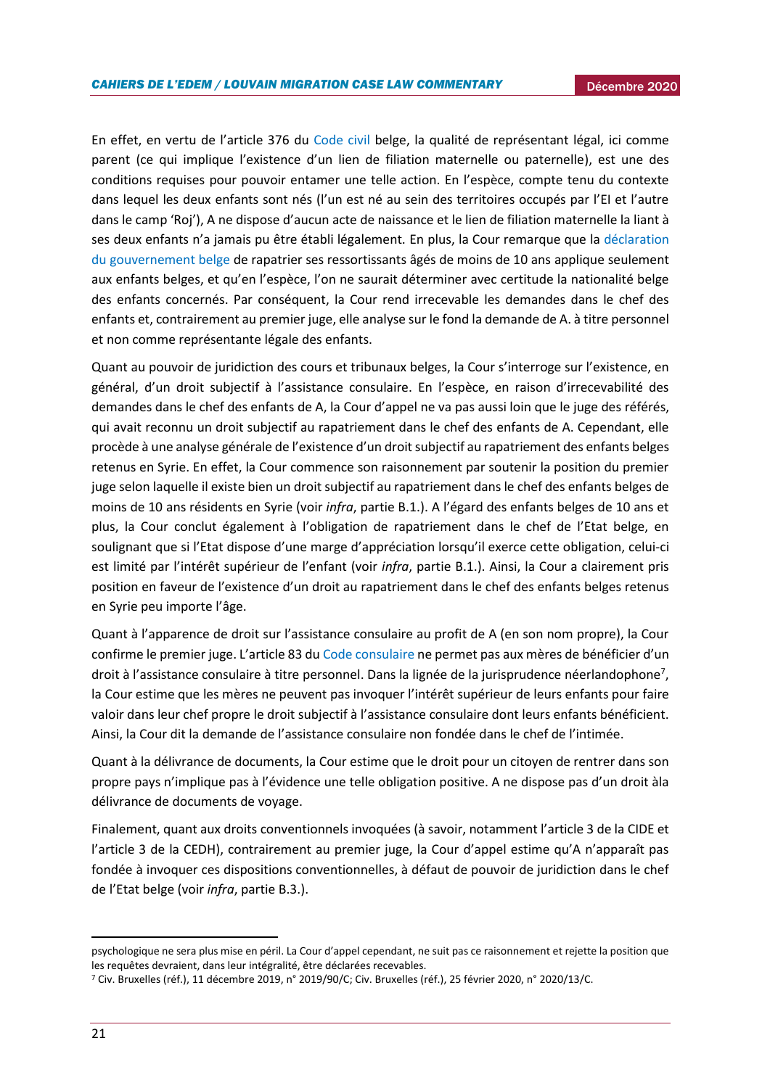En effet, en vertu de l'article 376 du [Code civil](http://www.ejustice.just.fgov.be/eli/loi/1804/03/21/1804032150/justel) belge, la qualité de représentant légal, ici comme parent (ce qui implique l'existence d'un lien de filiation maternelle ou paternelle), est une des conditions requises pour pouvoir entamer une telle action. En l'espèce, compte tenu du contexte dans lequel les deux enfants sont nés (l'un est né au sein des territoires occupés par l'EI et l'autre dans le camp 'Roj'), A ne dispose d'aucun acte de naissance et le lien de filiation maternelle la liant à ses deux enfants n'a jamais pu être établi légalement. En plus, la Cour remarque que la déclaration [du gouvernement belge](https://www.vrt.be/vrtnws/nl/2017/12/22/automatisch-terugkeerrecht-voor-kinderen-is-strijders-van-minder/) de rapatrier ses ressortissants âgés de moins de 10 ans applique seulement aux enfants belges, et qu'en l'espèce, l'on ne saurait déterminer avec certitude la nationalité belge des enfants concernés. Par conséquent, la Cour rend irrecevable les demandes dans le chef des enfants et, contrairement au premier juge, elle analyse sur le fond la demande de A. à titre personnel et non comme représentante légale des enfants.

Quant au pouvoir de juridiction des cours et tribunaux belges, la Cour s'interroge sur l'existence, en général, d'un droit subjectif à l'assistance consulaire. En l'espèce, en raison d'irrecevabilité des demandes dans le chef des enfants de A, la Cour d'appel ne va pas aussi loin que le juge des référés, qui avait reconnu un droit subjectif au rapatriement dans le chef des enfants de A. Cependant, elle procède à une analyse générale de l'existence d'un droit subjectif au rapatriement des enfants belges retenus en Syrie. En effet, la Cour commence son raisonnement par soutenir la position du premier juge selon laquelle il existe bien un droit subjectif au rapatriement dans le chef des enfants belges de moins de 10 ans résidents en Syrie (voir *infra*, partie B.1.). A l'égard des enfants belges de 10 ans et plus, la Cour conclut également à l'obligation de rapatriement dans le chef de l'Etat belge, en soulignant que si l'Etat dispose d'une marge d'appréciation lorsqu'il exerce cette obligation, celui-ci est limité par l'intérêt supérieur de l'enfant (voir *infra*, partie B.1.). Ainsi, la Cour a clairement pris position en faveur de l'existence d'un droit au rapatriement dans le chef des enfants belges retenus en Syrie peu importe l'âge.

Quant à l'apparence de droit sur l'assistance consulaire au profit de A (en son nom propre), la Cour confirme le premier juge. L'article 83 du [Code consulaire](https://www.ejustice.just.fgov.be/cgi_loi/change_lg.pl?language=fr&la=F&table_name=loi&cn=2013122152) ne permet pas aux mères de bénéficier d'un droit à l'assistance consulaire à titre personnel. Dans la lignée de la jurisprudence néerlandophone<sup>7</sup>, la Cour estime que les mères ne peuvent pas invoquer l'intérêt supérieur de leurs enfants pour faire valoir dans leur chef propre le droit subjectif à l'assistance consulaire dont leurs enfants bénéficient. Ainsi, la Cour dit la demande de l'assistance consulaire non fondée dans le chef de l'intimée.

Quant à la délivrance de documents, la Cour estime que le droit pour un citoyen de rentrer dans son propre pays n'implique pas à l'évidence une telle obligation positive. A ne dispose pas d'un droit àla délivrance de documents de voyage.

Finalement, quant aux droits conventionnels invoquées (à savoir, notamment l'article 3 de la CIDE et l'article 3 de la CEDH), contrairement au premier juge, la Cour d'appel estime qu'A n'apparaît pas fondée à invoquer ces dispositions conventionnelles, à défaut de pouvoir de juridiction dans le chef de l'Etat belge (voir *infra*, partie B.3.).

1

psychologique ne sera plus mise en péril. La Cour d'appel cependant, ne suit pas ce raisonnement et rejette la position que les requêtes devraient, dans leur intégralité, être déclarées recevables.

<sup>7</sup> Civ. Bruxelles (réf.), 11 décembre 2019, n° 2019/90/C; Civ. Bruxelles (réf.), 25 février 2020, n° 2020/13/C.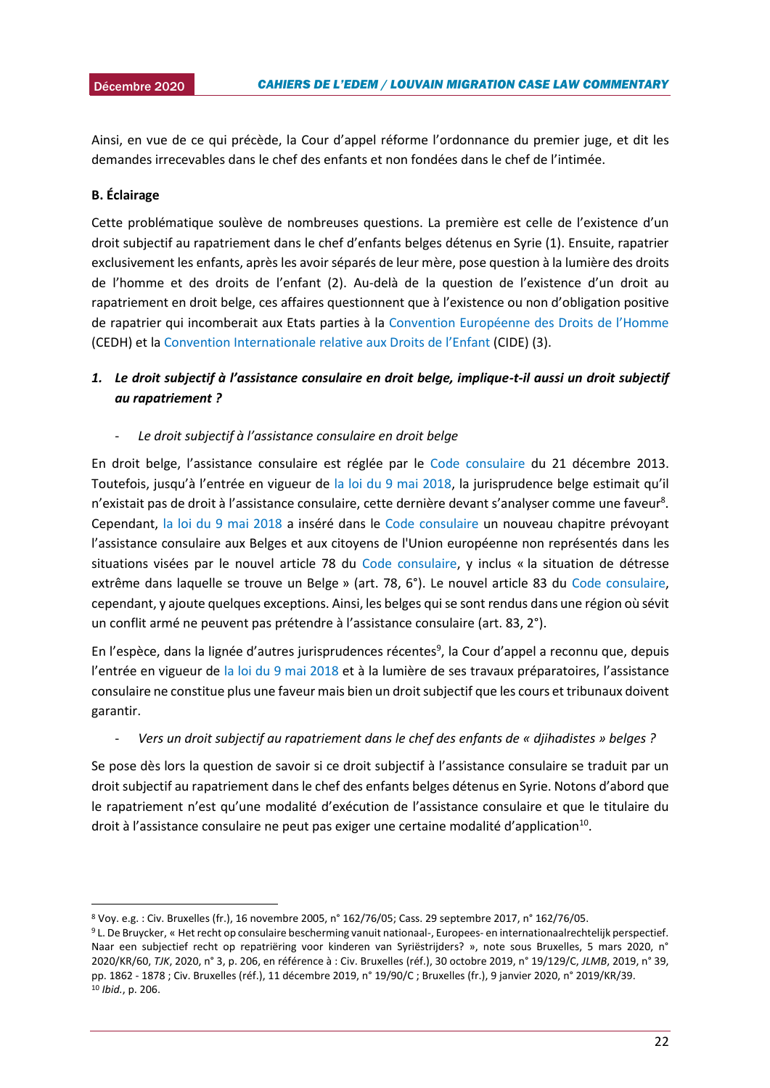2015 Ainsi, en vue de ce qui précède, la Cour d'appel réforme l'ordonnance du premier juge, et dit les demandes irrecevables dans le chef des enfants et non fondées dans le chef de l'intimée.

#### **B. Éclairage**

**.** 

Cette problématique soulève de nombreuses questions. La première est celle de l'existence d'un droit subjectif au rapatriement dans le chef d'enfants belges détenus en Syrie (1). Ensuite, rapatrier exclusivement les enfants, après les avoir séparés de leur mère, pose question à la lumière des droits de l'homme et des droits de l'enfant (2). Au-delà de la question de l'existence d'un droit au rapatriement en droit belge, ces affaires questionnent que à l'existence ou non d'obligation positive de rapatrier qui incomberait aux Etats parties à la [Convention Européenne des Droits de l'Homme](https://www.echr.coe.int/documents/convention_fra.pdf) (CEDH) et la Convention Internationale [relative aux Droits de l'Enfant](https://www.unicef.fr/sites/default/files/convention-des-droits-de-lenfant.pdf) (CIDE) (3).

# *1. Le droit subjectif à l'assistance consulaire en droit belge, implique-t-il aussi un droit subjectif au rapatriement ?*

- *Le droit subjectif à l'assistance consulaire en droit belge* 

En droit belge, l'assistance consulaire est réglée par le [Code consulaire](https://www.ejustice.just.fgov.be/cgi_loi/change_lg.pl?language=fr&la=F&table_name=loi&cn=2013122152) du 21 décembre 2013. Toutefois, jusqu'à l'entrée en vigueur de [la loi du 9 mai 2018](http://www.ejustice.just.fgov.be/cgi_loi/change_lg.pl?language=fr&la=F&cn=2018050906&table_name=loi), la jurisprudence belge estimait qu'il n'existait pas de droit à l'assistance consulaire, cette dernière devant s'analyser comme une faveur<sup>8</sup>. Cependant, [la loi du 9 mai 2018](http://www.ejustice.just.fgov.be/cgi_loi/change_lg.pl?language=fr&la=F&cn=2018050906&table_name=loi) a inséré dans le [Code consulaire](https://www.ejustice.just.fgov.be/cgi_loi/change_lg.pl?language=fr&la=F&table_name=loi&cn=2013122152) un nouveau chapitre prévoyant l'assistance consulaire aux Belges et aux citoyens de l'Union européenne non représentés dans les situations visées par le nouvel article 78 du [Code consulaire,](https://www.ejustice.just.fgov.be/cgi_loi/change_lg.pl?language=fr&la=F&table_name=loi&cn=2013122152) y inclus « la situation de détresse extrême dans laquelle se trouve un Belge » (art. 78, 6°). Le nouvel article 83 du [Code consulaire,](https://www.ejustice.just.fgov.be/cgi_loi/change_lg.pl?language=fr&la=F&table_name=loi&cn=2013122152) cependant, y ajoute quelques exceptions. Ainsi, les belges qui se sont rendus dans une région où sévit un conflit armé ne peuvent pas prétendre à l'assistance consulaire (art. 83, 2°).

En l'espèce, dans la lignée d'autres jurisprudences récentes<sup>9</sup>, la Cour d'appel a reconnu que, depuis l'entrée en vigueur de [la loi du 9 mai 2018](http://www.ejustice.just.fgov.be/cgi_loi/change_lg.pl?language=fr&la=F&cn=2018050906&table_name=loi) et à la lumière de ses travaux préparatoires, l'assistance consulaire ne constitue plus une faveur mais bien un droit subjectif que les cours et tribunaux doivent garantir.

#### - *Vers un droit subjectif au rapatriement dans le chef des enfants de « djihadistes » belges ?*

Se pose dès lors la question de savoir si ce droit subjectif à l'assistance consulaire se traduit par un droit subjectif au rapatriement dans le chef des enfants belges détenus en Syrie. Notons d'abord que le rapatriement n'est qu'une modalité d'exécution de l'assistance consulaire et que le titulaire du droit à l'assistance consulaire ne peut pas exiger une certaine modalité d'application<sup>10</sup>.

<sup>8</sup> Voy. e.g. : Civ. Bruxelles (fr.), 16 novembre 2005, n° 162/76/05; Cass. 29 septembre 2017, n° 162/76/05.

<sup>9</sup> L. De Bruycker, « Het recht op consulaire bescherming vanuit nationaal-, Europees- en internationaalrechtelijk perspectief. Naar een subjectief recht op repatriëring voor kinderen van Syriëstrijders? », note sous Bruxelles, 5 mars 2020, n° 2020/KR/60, *TJK*, 2020, n° 3, p. 206, en référence à : Civ. Bruxelles (réf.), 30 octobre 2019, n° 19/129/C, *JLMB*, 2019, n° 39, pp. 1862 - 1878 ; Civ. Bruxelles (réf.), 11 décembre 2019, n° 19/90/C ; Bruxelles (fr.), 9 janvier 2020, n° 2019/KR/39. <sup>10</sup> *Ibid.*, p. 206.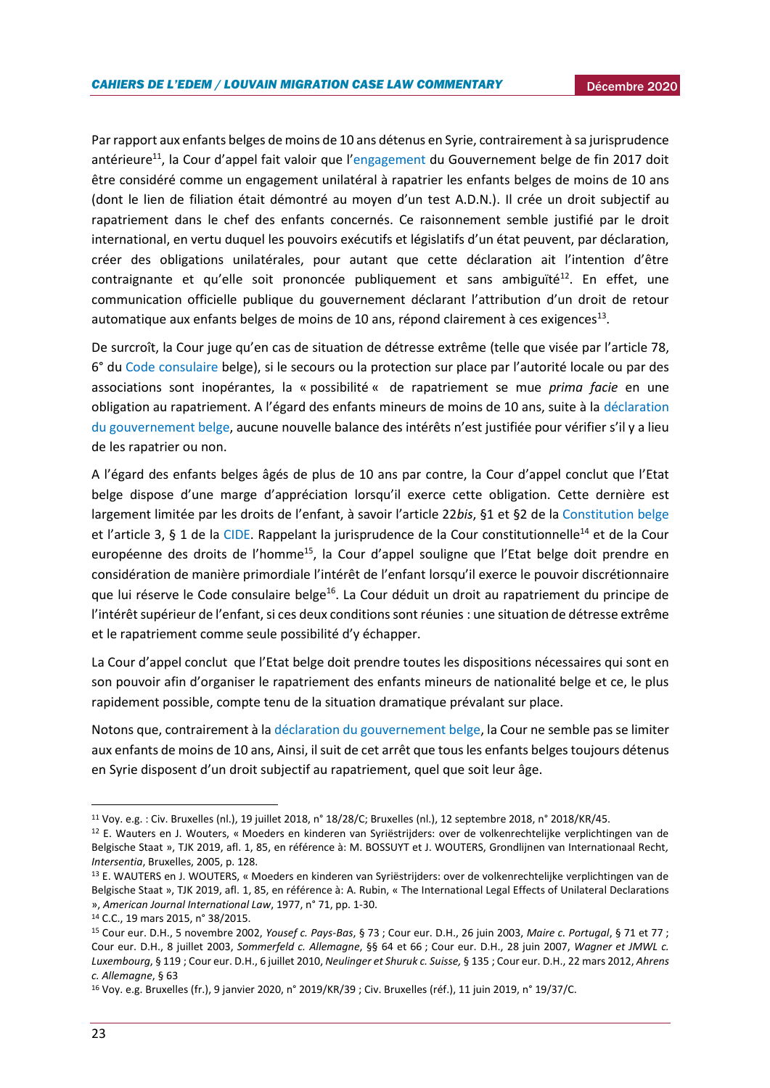Par rapport aux enfants belges de moins de 10 ans détenus en Syrie, contrairement à sa jurisprudence antérieure<sup>11</sup>, la Cour d'appel fait valoir que l'[engagement](https://www.vrt.be/vrtnws/nl/2017/12/22/automatisch-terugkeerrecht-voor-kinderen-is-strijders-van-minder/) du Gouvernement belge de fin 2017 doit être considéré comme un engagement unilatéral à rapatrier les enfants belges de moins de 10 ans (dont le lien de filiation était démontré au moyen d'un test A.D.N.). Il crée un droit subjectif au rapatriement dans le chef des enfants concernés. Ce raisonnement semble justifié par le droit international, en vertu duquel les pouvoirs exécutifs et législatifs d'un état peuvent, par déclaration, créer des obligations unilatérales, pour autant que cette déclaration ait l'intention d'être  $control$ contraignante et qu'elle soit prononcée publiquement et sans ambiguïté $12$ . En effet, une communication officielle publique du gouvernement déclarant l'attribution d'un droit de retour automatique aux enfants belges de moins de 10 ans, répond clairement à ces exigences<sup>13</sup>.

De surcroît, la Cour juge qu'en cas de situation de détresse extrême (telle que visée par l'article 78, 6° du [Code consulaire](https://www.ejustice.just.fgov.be/cgi_loi/change_lg.pl?language=fr&la=F&table_name=loi&cn=2013122152) belge), si le secours ou la protection sur place par l'autorité locale ou par des associations sont inopérantes, la « possibilité « de rapatriement se mue *prima facie* en une obligation au rapatriement. A l'égard des enfants mineurs de moins de 10 ans, suite à la [déclaration](https://www.vrt.be/vrtnws/nl/2017/12/22/automatisch-terugkeerrecht-voor-kinderen-is-strijders-van-minder/)  [du gouvernement belge,](https://www.vrt.be/vrtnws/nl/2017/12/22/automatisch-terugkeerrecht-voor-kinderen-is-strijders-van-minder/) aucune nouvelle balance des intérêts n'est justifiée pour vérifier s'il y a lieu de les rapatrier ou non.

A l'égard des enfants belges âgés de plus de 10 ans par contre, la Cour d'appel conclut que l'Etat belge dispose d'une marge d'appréciation lorsqu'il exerce cette obligation. Cette dernière est largement limitée par les droits de l'enfant, à savoir l'article 22*bis*, §1 et §2 de la [Constitution belge](http://www.ejustice.just.fgov.be/cgi_loi/change_lg.pl?language=fr&la=F&cn=1994021730&table_name=loi) et l'article 3, § 1 de la [CIDE.](https://www.unicef.fr/sites/default/files/convention-des-droits-de-lenfant.pdf) Rappelant la jurisprudence de la Cour constitutionnelle<sup>14</sup> et de la Cour européenne des droits de l'homme<sup>15</sup>, la Cour d'appel souligne que l'Etat belge doit prendre en considération de manière primordiale l'intérêt de l'enfant lorsqu'il exerce le pouvoir discrétionnaire que lui réserve le Code consulaire belge<sup>16</sup>. La Cour déduit un droit au rapatriement du principe de l'intérêt supérieur de l'enfant, si ces deux conditions sont réunies : une situation de détresse extrême et le rapatriement comme seule possibilité d'y échapper.

La Cour d'appel conclut que l'Etat belge doit prendre toutes les dispositions nécessaires qui sont en son pouvoir afin d'organiser le rapatriement des enfants mineurs de nationalité belge et ce, le plus rapidement possible, compte tenu de la situation dramatique prévalant sur place.

Notons que, contrairement à la [déclaration du gouvernement belge,](https://www.vrt.be/vrtnws/nl/2017/12/22/automatisch-terugkeerrecht-voor-kinderen-is-strijders-van-minder/) la Cour ne semble pas se limiter aux enfants de moins de 10 ans, Ainsi, il suit de cet arrêt que tous les enfants belges toujours détenus en Syrie disposent d'un droit subjectif au rapatriement, quel que soit leur âge.

**.** 

<sup>11</sup> Voy. e.g. : Civ. Bruxelles (nl.), 19 juillet 2018, n° 18/28/C; Bruxelles (nl.), 12 septembre 2018, n° 2018/KR/45.

<sup>12</sup> E. Wauters en J. Wouters, « Moeders en kinderen van Syriëstrijders: over de volkenrechtelijke verplichtingen van de Belgische Staat », TJK 2019, afl. 1, 85, en référence à: M. BOSSUYT et J. WOUTERS, Grondlijnen van Internationaal Recht*, Intersentia*, Bruxelles, 2005, p. 128.

<sup>13</sup> E. WAUTERS en J. WOUTERS, « Moeders en kinderen van Syriëstrijders: over de volkenrechtelijke verplichtingen van de Belgische Staat », TJK 2019, afl. 1, 85, en référence à: A. Rubin, « The International Legal Effects of Unilateral Declarations », *American Journal International Law*, 1977, n° 71, pp. 1-30.

<sup>14</sup> C.C., 19 mars 2015, n° 38/2015.

<sup>15</sup> Cour eur. D.H., 5 novembre 2002, *Yousef c. Pays-Bas*, § 73 ; Cour eur. D.H., 26 juin 2003, *Maire c. Portugal*, § 71 et 77 ; Cour eur. D.H., 8 juillet 2003, *Sommerfeld c. Allemagne*, §§ 64 et 66 ; Cour eur. D.H., 28 juin 2007, *Wagner et JMWL c. Luxembourg*, § 119 ; Cour eur. D.H., 6 juillet 2010, *Neulinger et Shuruk c. Suisse,* § 135 ; Cour eur. D.H., 22 mars 2012, *Ahrens c. Allemagne*, § 63

<sup>16</sup> Voy. e.g. Bruxelles (fr.), 9 janvier 2020, n° 2019/KR/39 ; Civ. Bruxelles (réf.), 11 juin 2019, n° 19/37/C.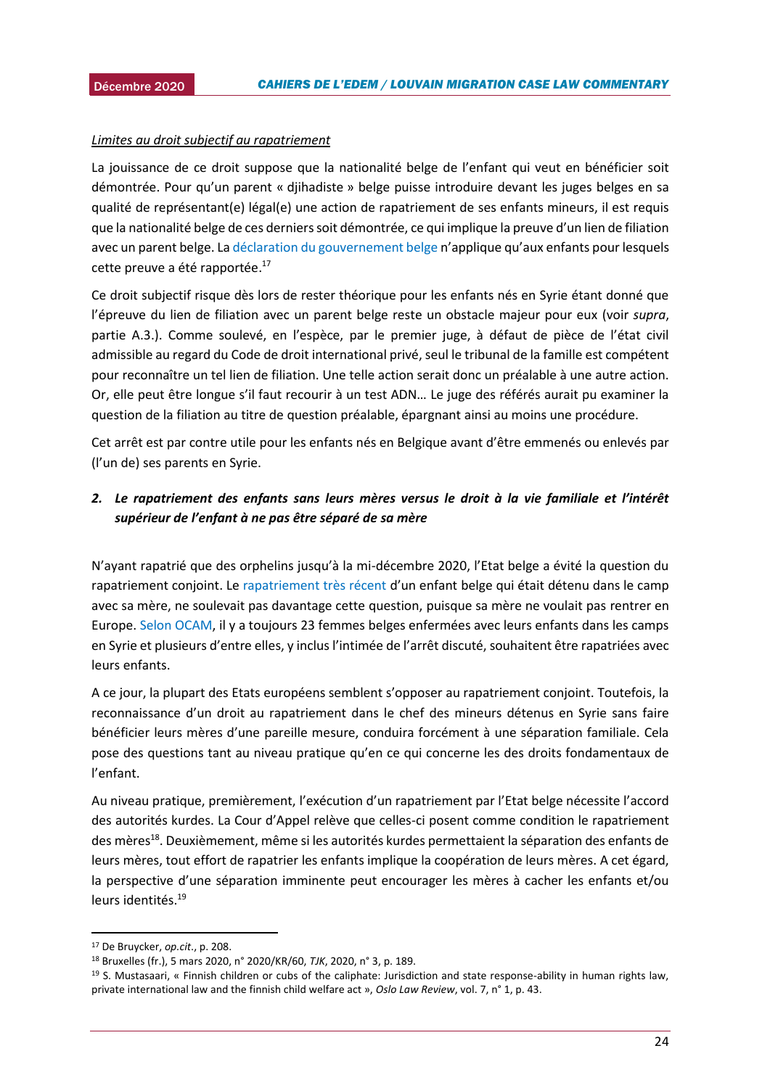## Limites au droit subjectif au rapatriement

La jouissance de ce droit suppose que la nationalité belge de l'enfant qui veut en bénéficier soit démontrée. Pour qu'un parent « djihadiste » belge puisse introduire devant les juges belges en sa qualité de représentant(e) légal(e) une action de rapatriement de ses enfants mineurs, il est requis que la nationalité belge de ces derniers soit démontrée, ce qui implique la preuve d'un lien de filiation avec un parent belge. La [déclaration du gouvernement belge](https://www.vrt.be/vrtnws/nl/2017/12/22/automatisch-terugkeerrecht-voor-kinderen-is-strijders-van-minder/) n'applique qu'aux enfants pour lesquels cette preuve a été rapportée.<sup>17</sup>

Ce droit subjectif risque dès lors de rester théorique pour les enfants nés en Syrie étant donné que l'épreuve du lien de filiation avec un parent belge reste un obstacle majeur pour eux (voir *supra*, partie A.3.). Comme soulevé, en l'espèce, par le premier juge, à défaut de pièce de l'état civil admissible au regard du Code de droit international privé, seul le tribunal de la famille est compétent pour reconnaître un tel lien de filiation. Une telle action serait donc un préalable à une autre action. Or, elle peut être longue s'il faut recourir à un test ADN… Le juge des référés aurait pu examiner la question de la filiation au titre de question préalable, épargnant ainsi au moins une procédure.

Cet arrêt est par contre utile pour les enfants nés en Belgique avant d'être emmenés ou enlevés par (l'un de) ses parents en Syrie.

# *2. Le rapatriement des enfants sans leurs mères versus le droit à la vie familiale et l'intérêt supérieur de l'enfant à ne pas être séparé de sa mère*

N'ayant rapatrié que des orphelins jusqu'à la mi-décembre 2020, l'Etat belge a évité la question du rapatriement conjoint. Le [rapatriement très récent](https://www.demorgen.be/nieuws/belgie-haalt-kind-terug-uit-kamp-in-syrie-ik-wil-bij-mijn-papa-zijn~b80d18bb/) d'un enfant belge qui était détenu dans le camp avec sa mère, ne soulevait pas davantage cette question, puisque sa mère ne voulait pas rentrer en Europe. [Selon OCAM,](https://www.demorgen.be/nieuws/islamitische-staat-zwaait-de-plak-in-de-kampen-met-belgen-de-koerden-zijn-de-controle-kwijt~b71cc8a0/) il y a toujours 23 femmes belges enfermées avec leurs enfants dans les camps en Syrie et plusieurs d'entre elles, y inclus l'intimée de l'arrêt discuté, souhaitent être rapatriées avec leurs enfants.

A ce jour, la plupart des Etats européens semblent s'opposer au rapatriement conjoint. Toutefois, la reconnaissance d'un droit au rapatriement dans le chef des mineurs détenus en Syrie sans faire bénéficier leurs mères d'une pareille mesure, conduira forcément à une séparation familiale. Cela pose des questions tant au niveau pratique qu'en ce qui concerne les des droits fondamentaux de l'enfant.

Au niveau pratique, premièrement, l'exécution d'un rapatriement par l'Etat belge nécessite l'accord des autorités kurdes. La Cour d'Appel relève que celles-ci posent comme condition le rapatriement des mères<sup>18</sup>. Deuxièmement, même si les autorités kurdes permettaient la séparation des enfants de leurs mères, tout effort de rapatrier les enfants implique la coopération de leurs mères. A cet égard, la perspective d'une séparation imminente peut encourager les mères à cacher les enfants et/ou leurs identités<sup>19</sup>

 $\overline{\phantom{a}}$ 

<sup>17</sup> De Bruycker, *op.cit*., p. 208.

<sup>18</sup> Bruxelles (fr.), 5 mars 2020, n° 2020/KR/60, *TJK*, 2020, n° 3, p. 189.

 $19$  S. Mustasaari, « Finnish children or cubs of the caliphate: Jurisdiction and state response-ability in human rights law, private international law and the finnish child welfare act », *Oslo Law Review*, vol. 7, n° 1, p. 43.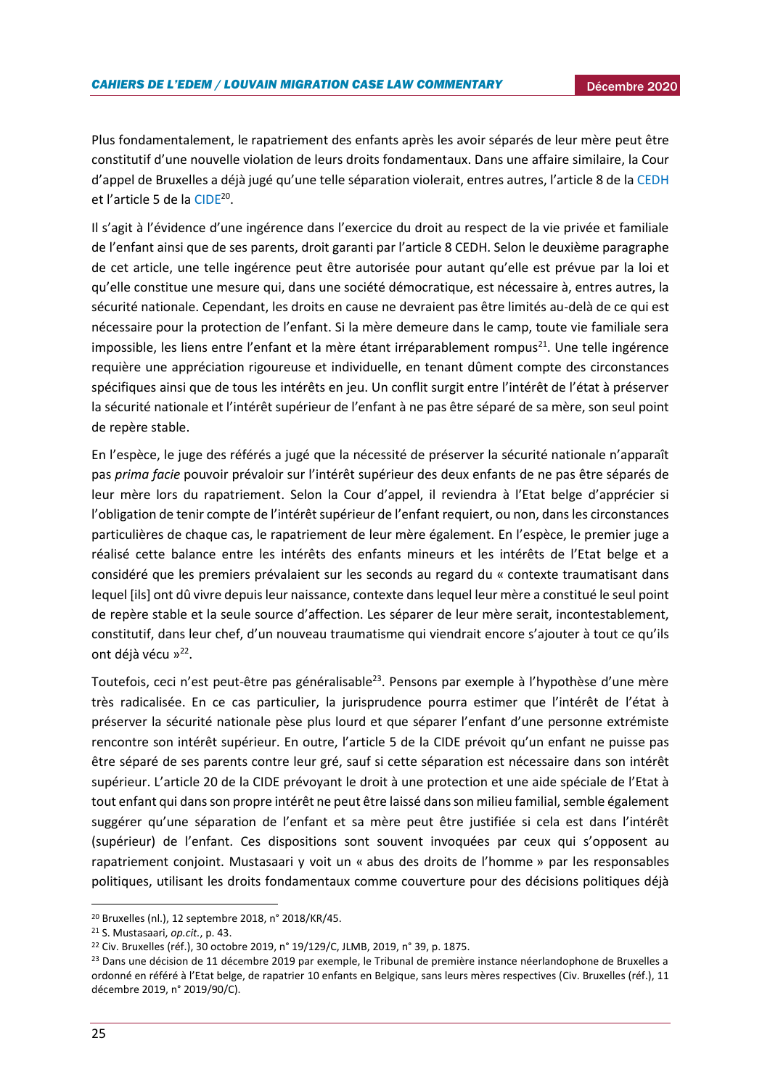Plus fondamentalement, le rapatriement des enfants après les avoir séparés de leur mère peut être constitutif d'une nouvelle violation de leurs droits fondamentaux. Dans une affaire similaire, la Cour d'appel de Bruxelles a déjà jugé qu'une telle séparation violerait, entres autres, l'article 8 de l[a CEDH](https://www.echr.coe.int/documents/convention_fra.pdf) et l'article 5 de la [CIDE](https://www.unicef.fr/sites/default/files/convention-des-droits-de-lenfant.pdf)<sup>20</sup>.

Il s'agit à l'évidence d'une ingérence dans l'exercice du droit au respect de la vie privée et familiale de l'enfant ainsi que de ses parents, droit garanti par l'article 8 CEDH. Selon le deuxième paragraphe de cet article, une telle ingérence peut être autorisée pour autant qu'elle est prévue par la loi et qu'elle constitue une mesure qui, dans une société démocratique, est nécessaire à, entres autres, la sécurité nationale. Cependant, les droits en cause ne devraient pas être limités au-delà de ce qui est nécessaire pour la protection de l'enfant. Si la mère demeure dans le camp, toute vie familiale sera impossible, les liens entre l'enfant et la mère étant irréparablement rompus<sup>21</sup>. Une telle ingérence requière une appréciation rigoureuse et individuelle, en tenant dûment compte des circonstances spécifiques ainsi que de tous les intérêts en jeu. Un conflit surgit entre l'intérêt de l'état à préserver la sécurité nationale et l'intérêt supérieur de l'enfant à ne pas être séparé de sa mère, son seul point de repère stable.

En l'espèce, le juge des référés a jugé que la nécessité de préserver la sécurité nationale n'apparaît pas *prima facie* pouvoir prévaloir sur l'intérêt supérieur des deux enfants de ne pas être séparés de leur mère lors du rapatriement. Selon la Cour d'appel, il reviendra à l'Etat belge d'apprécier si l'obligation de tenir compte de l'intérêt supérieur de l'enfant requiert, ou non, dans les circonstances particulières de chaque cas, le rapatriement de leur mère également. En l'espèce, le premier juge a réalisé cette balance entre les intérêts des enfants mineurs et les intérêts de l'Etat belge et a considéré que les premiers prévalaient sur les seconds au regard du « contexte traumatisant dans lequel [ils] ont dû vivre depuis leur naissance, contexte dans lequel leur mère a constitué le seul point de repère stable et la seule source d'affection. Les séparer de leur mère serait, incontestablement, constitutif, dans leur chef, d'un nouveau traumatisme qui viendrait encore s'ajouter à tout ce qu'ils ont déjà vécu »<sup>22</sup>.

Toutefois, ceci n'est peut-être pas généralisable<sup>23</sup>. Pensons par exemple à l'hypothèse d'une mère très radicalisée. En ce cas particulier, la jurisprudence pourra estimer que l'intérêt de l'état à préserver la sécurité nationale pèse plus lourd et que séparer l'enfant d'une personne extrémiste rencontre son intérêt supérieur. En outre, l'article 5 de la CIDE prévoit qu'un enfant ne puisse pas être séparé de ses parents contre leur gré, sauf si cette séparation est nécessaire dans son intérêt supérieur. L'article 20 de la CIDE prévoyant le droit à une protection et une aide spéciale de l'Etat à tout enfant qui dans son propre intérêt ne peut être laissé dans son milieu familial, semble également suggérer qu'une séparation de l'enfant et sa mère peut être justifiée si cela est dans l'intérêt (supérieur) de l'enfant. Ces dispositions sont souvent invoquées par ceux qui s'opposent au rapatriement conjoint. Mustasaari y voit un « abus des droits de l'homme » par les responsables politiques, utilisant les droits fondamentaux comme couverture pour des décisions politiques déjà

**.** 

<sup>20</sup> Bruxelles (nl.), 12 septembre 2018, n° 2018/KR/45.

<sup>21</sup> S. Mustasaari, *op.cit.*, p. 43.

<sup>22</sup> Civ. Bruxelles (réf.), 30 octobre 2019, n° 19/129/C, JLMB, 2019, n° 39, p. 1875.

<sup>&</sup>lt;sup>23</sup> Dans une décision de 11 décembre 2019 par exemple, le Tribunal de première instance néerlandophone de Bruxelles a ordonné en référé à l'Etat belge, de rapatrier 10 enfants en Belgique, sans leurs mères respectives (Civ. Bruxelles (réf.), 11 décembre 2019, n° 2019/90/C).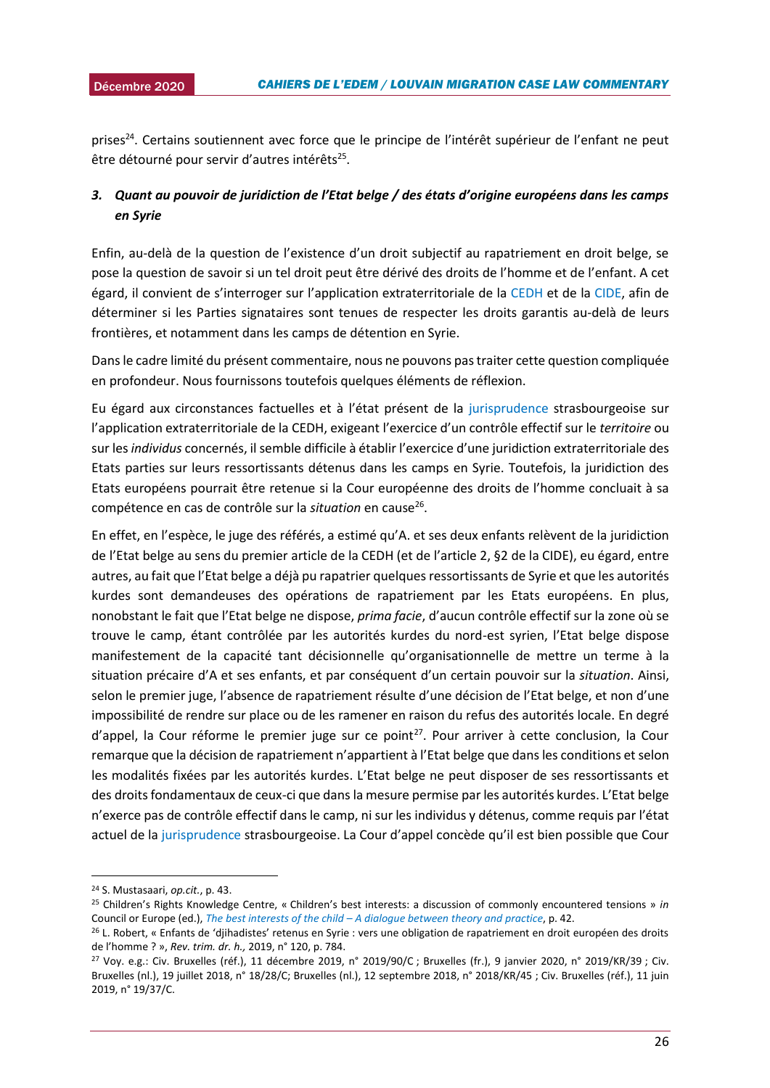prises<sup>24</sup>. Certains soutiennent avec force que le principe de l'intérêt supérieur de l'enfant ne peut être détourné pour servir d'autres intérêts<sup>25</sup>.

# *3. Quant au pouvoir de juridiction de l'Etat belge / des états d'origine européens dans les camps en Syrie*

Enfin, au-delà de la question de l'existence d'un droit subjectif au rapatriement en droit belge, se pose la question de savoir si un tel droit peut être dérivé des droits de l'homme et de l'enfant. A cet égard, il convient de s'interroger sur l'application extraterritoriale de la [CEDH](https://www.echr.coe.int/documents/convention_fra.pdf) et de la [CIDE,](https://www.unicef.fr/sites/default/files/convention-des-droits-de-lenfant.pdf) afin de déterminer si les Parties signataires sont tenues de respecter les droits garantis au-delà de leurs frontières, et notamment dans les camps de détention en Syrie.

Dans le cadre limité du présent commentaire, nous ne pouvons pas traiter cette question compliquée en profondeur. Nous fournissons toutefois quelques éléments de réflexion.

Eu égard aux circonstances factuelles et à l'état présent de la [jurisprudence](https://hudoc.echr.coe.int/eng#{%22fulltext%22:[%22bankovic%22],%22documentcollectionid2%22:[%22GRANDCHAMBER%22,%22CHAMBER%22],%22itemid%22:[%22001-105606%22]}) strasbourgeoise sur l'application extraterritoriale de la CEDH, exigeant l'exercice d'un contrôle effectif sur le *territoire* ou sur les *individus* concernés, il semble difficile à établir l'exercice d'une juridiction extraterritoriale des Etats parties sur leurs ressortissants détenus dans les camps en Syrie. Toutefois, la juridiction des Etats européens pourrait être retenue si la Cour européenne des droits de l'homme concluait à sa compétence en cas de contrôle sur la situation en cause<sup>26</sup>.

En effet, en l'espèce, le juge des référés, a estimé qu'A. et ses deux enfants relèvent de la juridiction de l'Etat belge au sens du premier article de la CEDH (et de l'article 2, §2 de la CIDE), eu égard, entre autres, au fait que l'Etat belge a déjà pu rapatrier quelques ressortissants de Syrie et que les autorités kurdes sont demandeuses des opérations de rapatriement par les Etats européens. En plus, nonobstant le fait que l'Etat belge ne dispose, *prima facie*, d'aucun contrôle effectif sur la zone où se trouve le camp, étant contrôlée par les autorités kurdes du nord-est syrien, l'Etat belge dispose manifestement de la capacité tant décisionnelle qu'organisationnelle de mettre un terme à la situation précaire d'A et ses enfants, et par conséquent d'un certain pouvoir sur la *situation*. Ainsi, selon le premier juge, l'absence de rapatriement résulte d'une décision de l'Etat belge, et non d'une impossibilité de rendre sur place ou de les ramener en raison du refus des autorités locale. En degré  $d'$ appel, la Cour réforme le premier juge sur ce point<sup>27</sup>. Pour arriver à cette conclusion, la Cour remarque que la décision de rapatriement n'appartient à l'Etat belge que dans les conditions et selon les modalités fixées par les autorités kurdes. L'Etat belge ne peut disposer de ses ressortissants et des droits fondamentaux de ceux-ci que dans la mesure permise par les autorités kurdes. L'Etat belge n'exerce pas de contrôle effectif dans le camp, ni sur les individus y détenus, comme requis par l'état actuel de la [jurisprudence](https://hudoc.echr.coe.int/eng#{%22fulltext%22:[%22bankovic%22],%22documentcollectionid2%22:[%22GRANDCHAMBER%22,%22CHAMBER%22],%22itemid%22:[%22001-105606%22]}) strasbourgeoise. La Cour d'appel concède qu'il est bien possible que Cour

1

<sup>24</sup> S. Mustasaari, *op.cit.*, p. 43.

<sup>25</sup> Children's Rights Knowledge Centre, « Children's best interests: a discussion of commonly encountered tensions » *in*  Council or Europe (ed.), *The best interests of the child – [A dialogue between theory and practice](https://rm.coe.int/1680657e56)*, p. 42.

<sup>&</sup>lt;sup>26</sup> L. Robert, « Enfants de 'djihadistes' retenus en Syrie : vers une obligation de rapatriement en droit européen des droits de l'homme ? », *Rev. trim. dr. h.,* 2019, n° 120, p. 784.

 $27$  Voy. e.g.: Civ. Bruxelles (réf.), 11 décembre 2019, n° 2019/90/C; Bruxelles (fr.), 9 janvier 2020, n° 2019/KR/39; Civ. Bruxelles (nl.), 19 juillet 2018, n° 18/28/C; Bruxelles (nl.), 12 septembre 2018, n° 2018/KR/45 ; Civ. Bruxelles (réf.), 11 juin 2019, n° 19/37/C.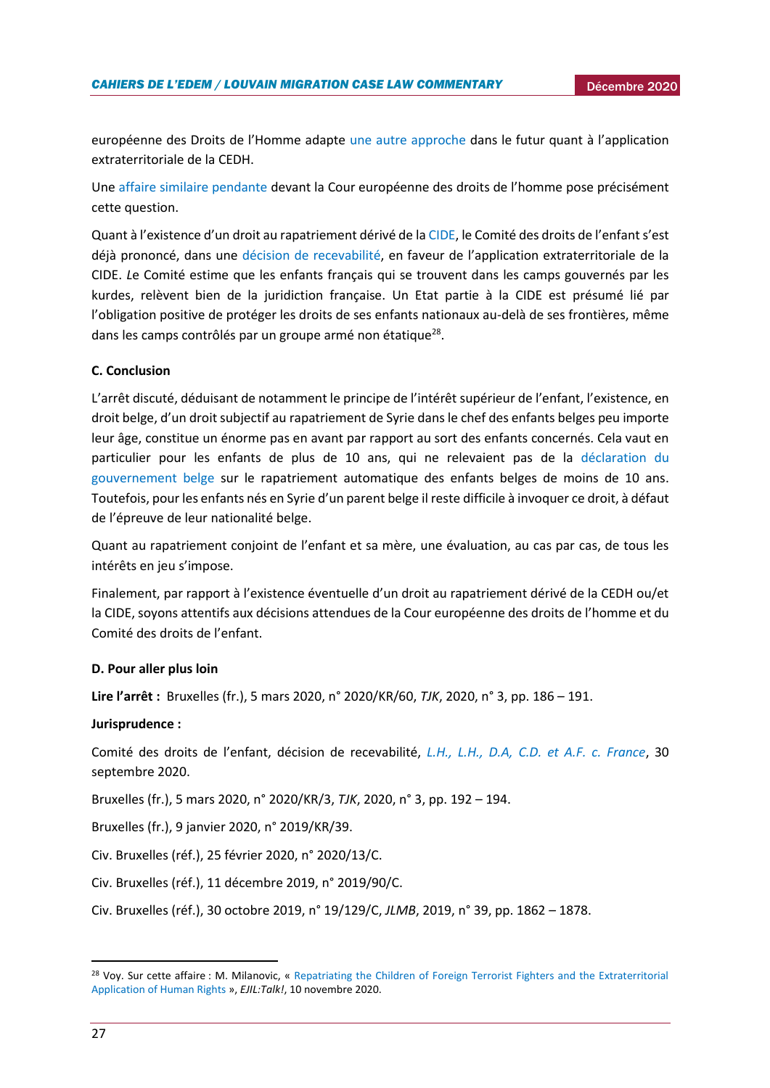européenne des Droits de l'Homme adapte [une autre approche](https://uclouvain.be/fr/instituts-recherche/juri/cedie/actualites/european-court-of-human-rights-gc-decision-on-admissibility-of-5-may-2020-m-n-and-others-v-belgium-appl-no-3599-18.html) dans le futur quant à l'application extraterritoriale de la CEDH.

Une [affaire similaire pendante](https://www.lefigaro.fr/international/rapatriement-d-enfants-de-djihadistes-un-recours-inedit-contre-la-france-devant-la-cedh-20190506) devant la Cour européenne des droits de l'homme pose précisément cette question.

Quant à l'existence d'un droit au rapatriement dérivé de l[a CIDE,](https://www.unicef.fr/sites/default/files/convention-des-droits-de-lenfant.pdf) le Comité des droits de l'enfant s'est déjà prononcé, dans une [décision de recevabilité](https://www.ejiltalk.org/wp-content/uploads/2020/12/CRC_C_85_D_79_2019_E-1.pdf), en faveur de l'application extraterritoriale de la CIDE. *L*e Comité estime que les enfants français qui se trouvent dans les camps gouvernés par les kurdes, relèvent bien de la juridiction française. Un Etat partie à la CIDE est présumé lié par l'obligation positive de protéger les droits de ses enfants nationaux au-delà de ses frontières, même dans les camps contrôlés par un groupe armé non étatique<sup>28</sup>.

## **C. Conclusion**

L'arrêt discuté, déduisant de notamment le principe de l'intérêt supérieur de l'enfant, l'existence, en droit belge, d'un droit subjectif au rapatriement de Syrie dans le chef des enfants belges peu importe leur âge, constitue un énorme pas en avant par rapport au sort des enfants concernés. Cela vaut en particulier pour les enfants de plus de 10 ans, qui ne relevaient pas de la [déclaration du](https://www.vrt.be/vrtnws/nl/2017/12/22/automatisch-terugkeerrecht-voor-kinderen-is-strijders-van-minder/)  [gouvernement belge](https://www.vrt.be/vrtnws/nl/2017/12/22/automatisch-terugkeerrecht-voor-kinderen-is-strijders-van-minder/) sur le rapatriement automatique des enfants belges de moins de 10 ans. Toutefois, pour les enfants nés en Syrie d'un parent belge il reste difficile à invoquer ce droit, à défaut de l'épreuve de leur nationalité belge.

Quant au rapatriement conjoint de l'enfant et sa mère, une évaluation, au cas par cas, de tous les intérêts en jeu s'impose.

Finalement, par rapport à l'existence éventuelle d'un droit au rapatriement dérivé de la CEDH ou/et la CIDE, soyons attentifs aux décisions attendues de la Cour européenne des droits de l'homme et du Comité des droits de l'enfant.

#### **D. Pour aller plus loin**

**Lire l'arrêt :** Bruxelles (fr.), 5 mars 2020, n° 2020/KR/60, *TJK*, 2020, n° 3, pp. 186 – 191.

#### **Jurisprudence :**

Comité des droits de l'enfant, décision de recevabilité, *[L.H., L.H., D.A, C.D. et A.F. c. France](https://www.ejiltalk.org/wp-content/uploads/2020/12/CRC_C_85_D_79_2019_E-1.pdf)*, 30 septembre 2020.

Bruxelles (fr.), 5 mars 2020, n° 2020/KR/3, *TJK*, 2020, n° 3, pp. 192 – 194.

Bruxelles (fr.), 9 janvier 2020, n° 2019/KR/39.

Civ. Bruxelles (réf.), 25 février 2020, n° 2020/13/C.

Civ. Bruxelles (réf.), 11 décembre 2019, n° 2019/90/C.

Civ. Bruxelles (réf.), 30 octobre 2019, n° 19/129/C, *JLMB*, 2019, n° 39, pp. 1862 – 1878.

**.** 

<sup>&</sup>lt;sup>28</sup> Voy. Sur cette affaire : M. Milanovic, « Repatriating the Children of Foreign Terrorist Fighters and the Extraterritorial [Application of Human Rights](https://www.ejiltalk.org/repatriating-the-children-of-foreign-terrorist-fighters-and-the-extraterritorial-application-of-human-rights/) », *EJIL:Talk!*, 10 novembre 2020.